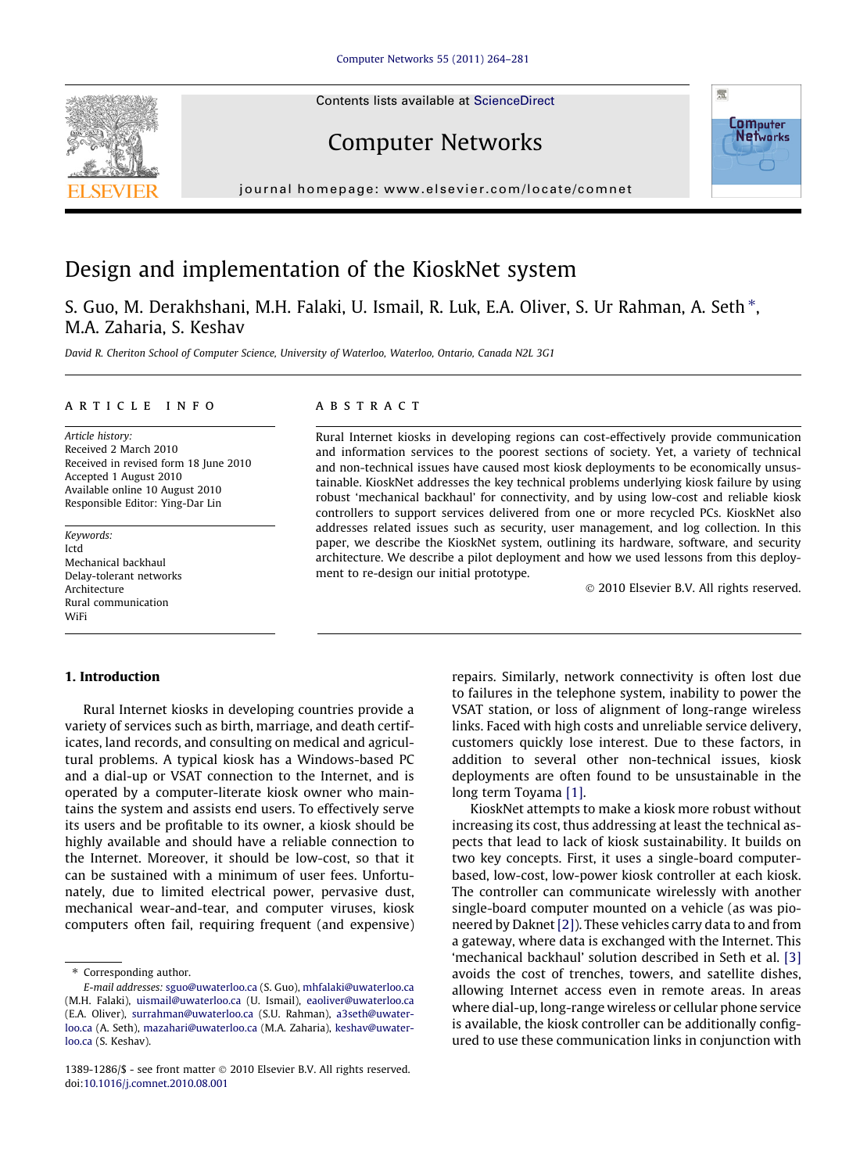Contents lists available at [ScienceDirect](http://www.sciencedirect.com/science/journal/13891286)





journal homepage: [www.elsevier.com/locate/comnet](http://www.elsevier.com/locate/comnet)

# Design and implementation of the KioskNet system

S. Guo, M. Derakhshani, M.H. Falaki, U. Ismail, R. Luk, E.A. Oliver, S. Ur Rahman, A. Seth  $^\ast$ , M.A. Zaharia, S. Keshav

David R. Cheriton School of Computer Science, University of Waterloo, Waterloo, Ontario, Canada N2L 3G1

## article info

Article history: Received 2 March 2010 Received in revised form 18 June 2010 Accepted 1 August 2010 Available online 10 August 2010 Responsible Editor: Ying-Dar Lin

Keywords: Ictd Mechanical backhaul Delay-tolerant networks Architecture Rural communication **WiFi** 

#### 1. Introduction

Rural Internet kiosks in developing countries provide a variety of services such as birth, marriage, and death certificates, land records, and consulting on medical and agricultural problems. A typical kiosk has a Windows-based PC and a dial-up or VSAT connection to the Internet, and is operated by a computer-literate kiosk owner who maintains the system and assists end users. To effectively serve its users and be profitable to its owner, a kiosk should be highly available and should have a reliable connection to the Internet. Moreover, it should be low-cost, so that it can be sustained with a minimum of user fees. Unfortunately, due to limited electrical power, pervasive dust, mechanical wear-and-tear, and computer viruses, kiosk computers often fail, requiring frequent (and expensive)

# **ABSTRACT**

Rural Internet kiosks in developing regions can cost-effectively provide communication and information services to the poorest sections of society. Yet, a variety of technical and non-technical issues have caused most kiosk deployments to be economically unsustainable. KioskNet addresses the key technical problems underlying kiosk failure by using robust 'mechanical backhaul' for connectivity, and by using low-cost and reliable kiosk controllers to support services delivered from one or more recycled PCs. KioskNet also addresses related issues such as security, user management, and log collection. In this paper, we describe the KioskNet system, outlining its hardware, software, and security architecture. We describe a pilot deployment and how we used lessons from this deployment to re-design our initial prototype.

- 2010 Elsevier B.V. All rights reserved.

Computer **Networks** 

repairs. Similarly, network connectivity is often lost due to failures in the telephone system, inability to power the VSAT station, or loss of alignment of long-range wireless links. Faced with high costs and unreliable service delivery, customers quickly lose interest. Due to these factors, in addition to several other non-technical issues, kiosk deployments are often found to be unsustainable in the long term Toyama [\[1\]](#page-16-0).

KioskNet attempts to make a kiosk more robust without increasing its cost, thus addressing at least the technical aspects that lead to lack of kiosk sustainability. It builds on two key concepts. First, it uses a single-board computerbased, low-cost, low-power kiosk controller at each kiosk. The controller can communicate wirelessly with another single-board computer mounted on a vehicle (as was pioneered by Daknet [\[2\]\)](#page-16-0). These vehicles carry data to and from a gateway, where data is exchanged with the Internet. This 'mechanical backhaul' solution described in Seth et al. [\[3\]](#page-16-0) avoids the cost of trenches, towers, and satellite dishes, allowing Internet access even in remote areas. In areas where dial-up, long-range wireless or cellular phone service is available, the kiosk controller can be additionally configured to use these communication links in conjunction with

<sup>⇑</sup> Corresponding author.

E-mail addresses: [sguo@uwaterloo.ca](mailto:sguo@uwaterloo.ca) (S. Guo), [mhfalaki@uwaterloo.ca](mailto:mhfalaki@uwaterloo.ca) (M.H. Falaki), [uismail@uwaterloo.ca](mailto:uismail@uwaterloo.ca) (U. Ismail), [eaoliver@uwaterloo.ca](mailto:eaoliver@uwaterloo.ca) (E.A. Oliver), [surrahman@uwaterloo.ca](mailto:surrahman@uwaterloo.ca) (S.U. Rahman), [a3seth@uwater](mailto:a3seth@uwaterloo.ca)[loo.ca](mailto:a3seth@uwaterloo.ca) (A. Seth), [mazahari@uwaterloo.ca](mailto:mazahari@uwaterloo.ca) (M.A. Zaharia), [keshav@uwater](mailto:keshav@uwaterloo.ca)[loo.ca](mailto:keshav@uwaterloo.ca) (S. Keshav).

<sup>1389-1286/\$ -</sup> see front matter  $\odot$  2010 Elsevier B.V. All rights reserved. doi[:10.1016/j.comnet.2010.08.001](http://dx.doi.org/10.1016/j.comnet.2010.08.001)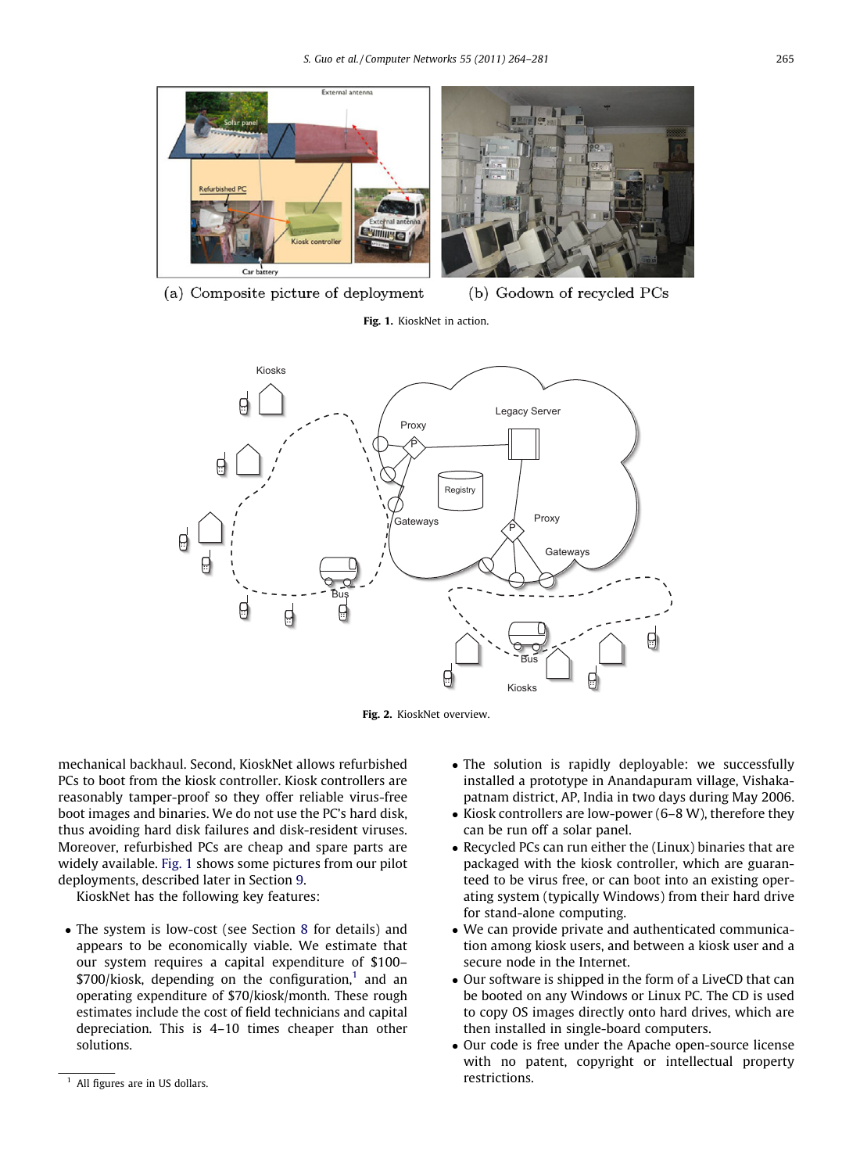<span id="page-1-0"></span>

(a) Composite picture of deployment

(b) Godown of recycled PCs





Fig. 2. KioskNet overview.

mechanical backhaul. Second, KioskNet allows refurbished PCs to boot from the kiosk controller. Kiosk controllers are reasonably tamper-proof so they offer reliable virus-free boot images and binaries. We do not use the PC's hard disk, thus avoiding hard disk failures and disk-resident viruses. Moreover, refurbished PCs are cheap and spare parts are widely available. Fig. 1 shows some pictures from our pilot deployments, described later in Section 9.

KioskNet has the following key features:

• The system is low-cost (see Section 8 for details) and appears to be economically viable. We estimate that our system requires a capital expenditure of \$100–  $$700/ki$ osk, depending on the configuration,<sup>1</sup> and an operating expenditure of \$70/kiosk/month. These rough estimates include the cost of field technicians and capital depreciation. This is 4–10 times cheaper than other solutions.

- The solution is rapidly deployable: we successfully installed a prototype in Anandapuram village, Vishakapatnam district, AP, India in two days during May 2006.
- Kiosk controllers are low-power (6–8 W), therefore they can be run off a solar panel.
- Recycled PCs can run either the (Linux) binaries that are packaged with the kiosk controller, which are guaranteed to be virus free, or can boot into an existing operating system (typically Windows) from their hard drive for stand-alone computing.
- We can provide private and authenticated communication among kiosk users, and between a kiosk user and a secure node in the Internet.
- Our software is shipped in the form of a LiveCD that can be booted on any Windows or Linux PC. The CD is used to copy OS images directly onto hard drives, which are then installed in single-board computers.
- Our code is free under the Apache open-source license with no patent, copyright or intellectual property restrictions.

 $<sup>1</sup>$  All figures are in US dollars.</sup>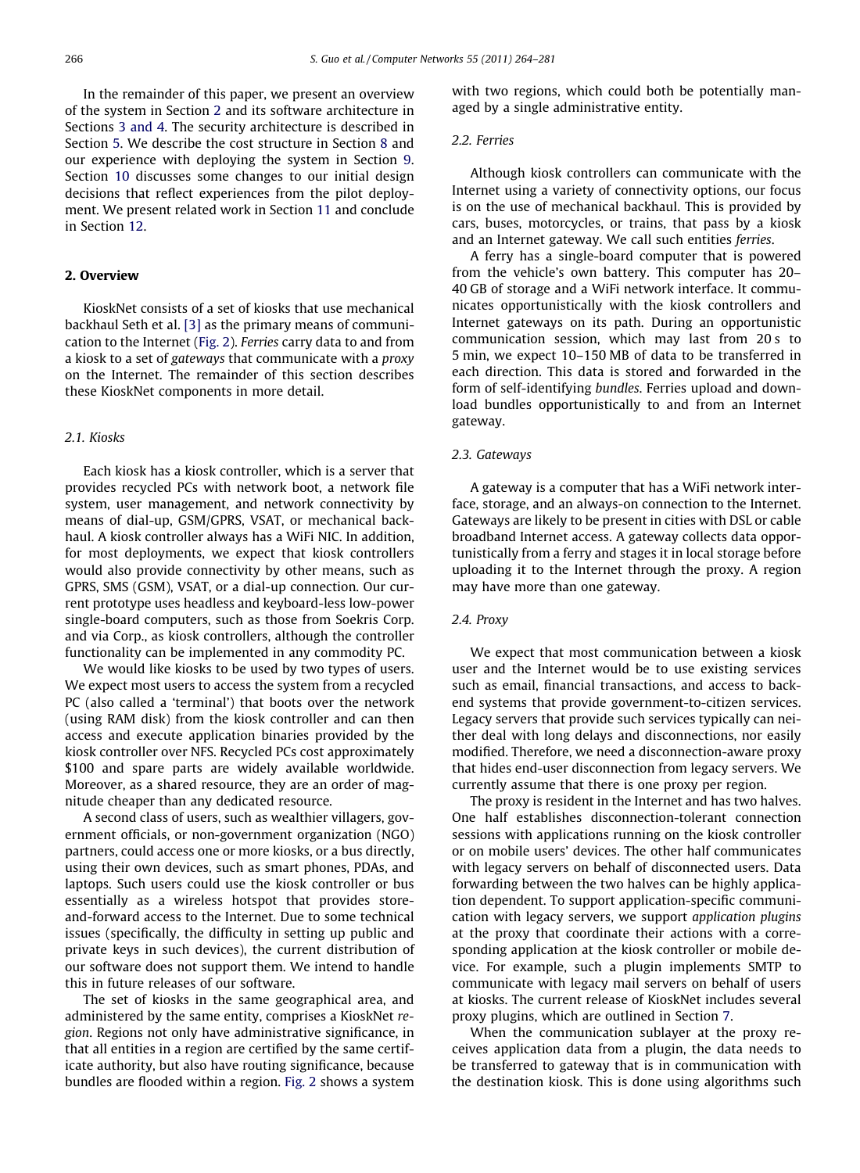In the remainder of this paper, we present an overview of the system in Section 2 and its software architecture in Sections 3 and 4. The security architecture is described in Section 5. We describe the cost structure in Section 8 and our experience with deploying the system in Section 9. Section 10 discusses some changes to our initial design decisions that reflect experiences from the pilot deployment. We present related work in Section 11 and conclude in Section 12.

## 2. Overview

KioskNet consists of a set of kiosks that use mechanical backhaul Seth et al. [\[3\]](#page-16-0) as the primary means of communication to the Internet ([Fig. 2\)](#page-1-0). Ferries carry data to and from a kiosk to a set of gateways that communicate with a proxy on the Internet. The remainder of this section describes these KioskNet components in more detail.

# 2.1. Kiosks

Each kiosk has a kiosk controller, which is a server that provides recycled PCs with network boot, a network file system, user management, and network connectivity by means of dial-up, GSM/GPRS, VSAT, or mechanical backhaul. A kiosk controller always has a WiFi NIC. In addition, for most deployments, we expect that kiosk controllers would also provide connectivity by other means, such as GPRS, SMS (GSM), VSAT, or a dial-up connection. Our current prototype uses headless and keyboard-less low-power single-board computers, such as those from Soekris Corp. and via Corp., as kiosk controllers, although the controller functionality can be implemented in any commodity PC.

We would like kiosks to be used by two types of users. We expect most users to access the system from a recycled PC (also called a 'terminal') that boots over the network (using RAM disk) from the kiosk controller and can then access and execute application binaries provided by the kiosk controller over NFS. Recycled PCs cost approximately \$100 and spare parts are widely available worldwide. Moreover, as a shared resource, they are an order of magnitude cheaper than any dedicated resource.

A second class of users, such as wealthier villagers, government officials, or non-government organization (NGO) partners, could access one or more kiosks, or a bus directly, using their own devices, such as smart phones, PDAs, and laptops. Such users could use the kiosk controller or bus essentially as a wireless hotspot that provides storeand-forward access to the Internet. Due to some technical issues (specifically, the difficulty in setting up public and private keys in such devices), the current distribution of our software does not support them. We intend to handle this in future releases of our software.

The set of kiosks in the same geographical area, and administered by the same entity, comprises a KioskNet region. Regions not only have administrative significance, in that all entities in a region are certified by the same certificate authority, but also have routing significance, because bundles are flooded within a region. [Fig. 2](#page-1-0) shows a system with two regions, which could both be potentially managed by a single administrative entity.

# 2.2. Ferries

Although kiosk controllers can communicate with the Internet using a variety of connectivity options, our focus is on the use of mechanical backhaul. This is provided by cars, buses, motorcycles, or trains, that pass by a kiosk and an Internet gateway. We call such entities ferries.

A ferry has a single-board computer that is powered from the vehicle's own battery. This computer has 20– 40 GB of storage and a WiFi network interface. It communicates opportunistically with the kiosk controllers and Internet gateways on its path. During an opportunistic communication session, which may last from 20 s to 5 min, we expect 10–150 MB of data to be transferred in each direction. This data is stored and forwarded in the form of self-identifying bundles. Ferries upload and download bundles opportunistically to and from an Internet gateway.

#### 2.3. Gateways

A gateway is a computer that has a WiFi network interface, storage, and an always-on connection to the Internet. Gateways are likely to be present in cities with DSL or cable broadband Internet access. A gateway collects data opportunistically from a ferry and stages it in local storage before uploading it to the Internet through the proxy. A region may have more than one gateway.

# 2.4. Proxy

We expect that most communication between a kiosk user and the Internet would be to use existing services such as email, financial transactions, and access to backend systems that provide government-to-citizen services. Legacy servers that provide such services typically can neither deal with long delays and disconnections, nor easily modified. Therefore, we need a disconnection-aware proxy that hides end-user disconnection from legacy servers. We currently assume that there is one proxy per region.

The proxy is resident in the Internet and has two halves. One half establishes disconnection-tolerant connection sessions with applications running on the kiosk controller or on mobile users' devices. The other half communicates with legacy servers on behalf of disconnected users. Data forwarding between the two halves can be highly application dependent. To support application-specific communication with legacy servers, we support application plugins at the proxy that coordinate their actions with a corresponding application at the kiosk controller or mobile device. For example, such a plugin implements SMTP to communicate with legacy mail servers on behalf of users at kiosks. The current release of KioskNet includes several proxy plugins, which are outlined in Section 7.

When the communication sublayer at the proxy receives application data from a plugin, the data needs to be transferred to gateway that is in communication with the destination kiosk. This is done using algorithms such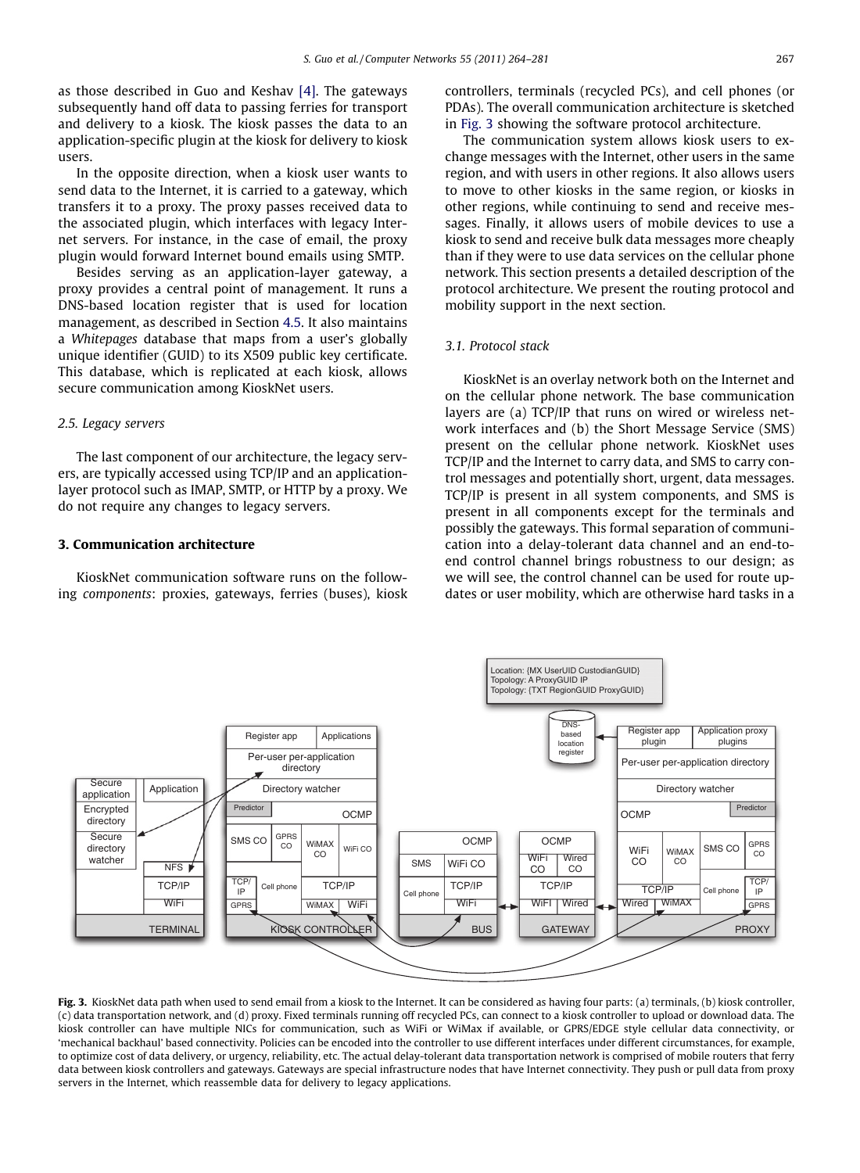as those described in Guo and Keshav [\[4\]](#page-16-0). The gateways subsequently hand off data to passing ferries for transport and delivery to a kiosk. The kiosk passes the data to an application-specific plugin at the kiosk for delivery to kiosk users.

In the opposite direction, when a kiosk user wants to send data to the Internet, it is carried to a gateway, which transfers it to a proxy. The proxy passes received data to the associated plugin, which interfaces with legacy Internet servers. For instance, in the case of email, the proxy plugin would forward Internet bound emails using SMTP.

Besides serving as an application-layer gateway, a proxy provides a central point of management. It runs a DNS-based location register that is used for location management, as described in Section 4.5. It also maintains a Whitepages database that maps from a user's globally unique identifier (GUID) to its X509 public key certificate. This database, which is replicated at each kiosk, allows secure communication among KioskNet users.

#### 2.5. Legacy servers

The last component of our architecture, the legacy servers, are typically accessed using TCP/IP and an applicationlayer protocol such as IMAP, SMTP, or HTTP by a proxy. We do not require any changes to legacy servers.

## 3. Communication architecture

KioskNet communication software runs on the following components: proxies, gateways, ferries (buses), kiosk controllers, terminals (recycled PCs), and cell phones (or PDAs). The overall communication architecture is sketched in Fig. 3 showing the software protocol architecture.

The communication system allows kiosk users to exchange messages with the Internet, other users in the same region, and with users in other regions. It also allows users to move to other kiosks in the same region, or kiosks in other regions, while continuing to send and receive messages. Finally, it allows users of mobile devices to use a kiosk to send and receive bulk data messages more cheaply than if they were to use data services on the cellular phone network. This section presents a detailed description of the protocol architecture. We present the routing protocol and mobility support in the next section.

#### 3.1. Protocol stack

KioskNet is an overlay network both on the Internet and on the cellular phone network. The base communication layers are (a) TCP/IP that runs on wired or wireless network interfaces and (b) the Short Message Service (SMS) present on the cellular phone network. KioskNet uses TCP/IP and the Internet to carry data, and SMS to carry control messages and potentially short, urgent, data messages. TCP/IP is present in all system components, and SMS is present in all components except for the terminals and possibly the gateways. This formal separation of communication into a delay-tolerant data channel and an end-toend control channel brings robustness to our design; as we will see, the control channel can be used for route updates or user mobility, which are otherwise hard tasks in a



Fig. 3. KioskNet data path when used to send email from a kiosk to the Internet. It can be considered as having four parts: (a) terminals, (b) kiosk controller, (c) data transportation network, and (d) proxy. Fixed terminals running off recycled PCs, can connect to a kiosk controller to upload or download data. The kiosk controller can have multiple NICs for communication, such as WiFi or WiMax if available, or GPRS/EDGE style cellular data connectivity, or 'mechanical backhaul' based connectivity. Policies can be encoded into the controller to use different interfaces under different circumstances, for example, to optimize cost of data delivery, or urgency, reliability, etc. The actual delay-tolerant data transportation network is comprised of mobile routers that ferry data between kiosk controllers and gateways. Gateways are special infrastructure nodes that have Internet connectivity. They push or pull data from proxy servers in the Internet, which reassemble data for delivery to legacy applications.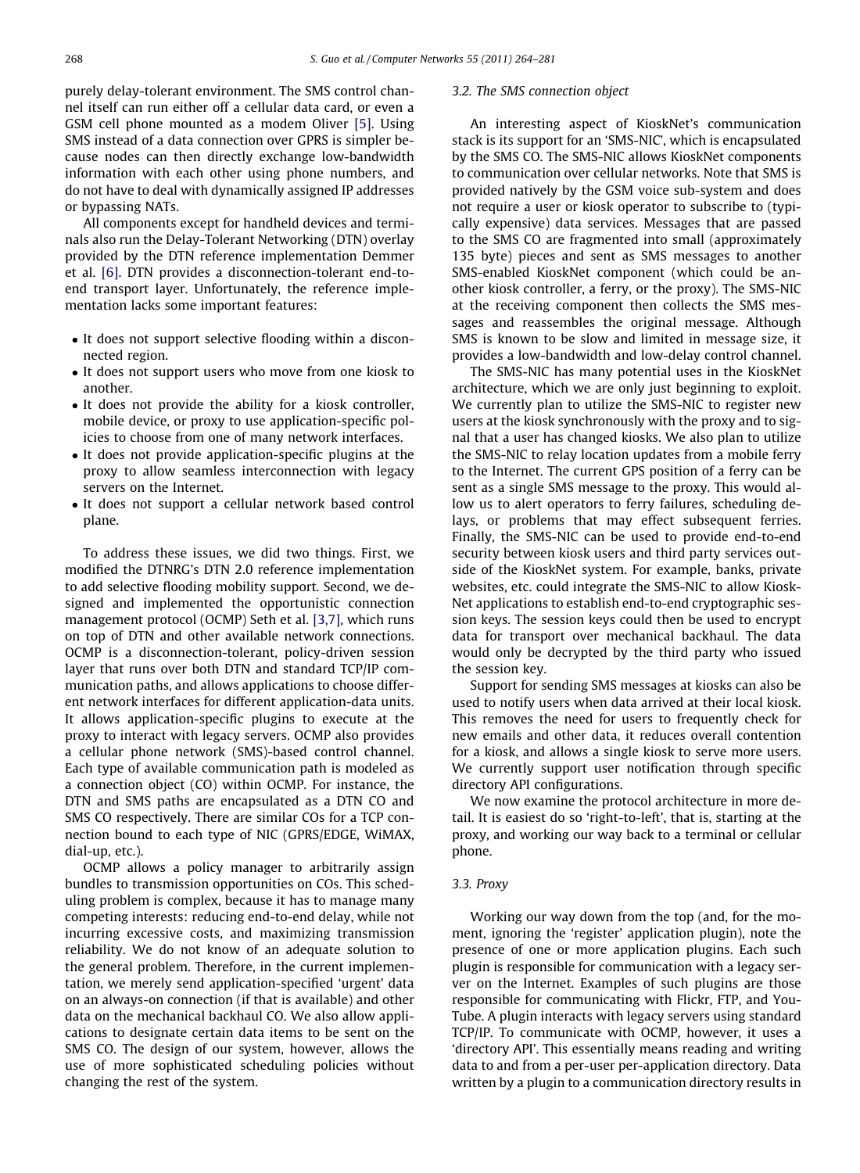purely delay-tolerant environment. The SMS control channel itself can run either off a cellular data card, or even a GSM cell phone mounted as a modem Oliver [\[5\]](#page-16-0). Using SMS instead of a data connection over GPRS is simpler because nodes can then directly exchange low-bandwidth information with each other using phone numbers, and do not have to deal with dynamically assigned IP addresses or bypassing NATs.

All components except for handheld devices and terminals also run the Delay-Tolerant Networking (DTN) overlay provided by the DTN reference implementation Demmer et al. [\[6\]](#page-16-0). DTN provides a disconnection-tolerant end-toend transport layer. Unfortunately, the reference implementation lacks some important features:

- It does not support selective flooding within a disconnected region.
- It does not support users who move from one kiosk to another.
- It does not provide the ability for a kiosk controller, mobile device, or proxy to use application-specific policies to choose from one of many network interfaces.
- It does not provide application-specific plugins at the proxy to allow seamless interconnection with legacy servers on the Internet.
- It does not support a cellular network based control plane.

To address these issues, we did two things. First, we modified the DTNRG's DTN 2.0 reference implementation to add selective flooding mobility support. Second, we designed and implemented the opportunistic connection management protocol (OCMP) Seth et al. [\[3,7\],](#page-16-0) which runs on top of DTN and other available network connections. OCMP is a disconnection-tolerant, policy-driven session layer that runs over both DTN and standard TCP/IP communication paths, and allows applications to choose different network interfaces for different application-data units. It allows application-specific plugins to execute at the proxy to interact with legacy servers. OCMP also provides a cellular phone network (SMS)-based control channel. Each type of available communication path is modeled as a connection object (CO) within OCMP. For instance, the DTN and SMS paths are encapsulated as a DTN CO and SMS CO respectively. There are similar COs for a TCP connection bound to each type of NIC (GPRS/EDGE, WiMAX, dial-up, etc.).

OCMP allows a policy manager to arbitrarily assign bundles to transmission opportunities on COs. This scheduling problem is complex, because it has to manage many competing interests: reducing end-to-end delay, while not incurring excessive costs, and maximizing transmission reliability. We do not know of an adequate solution to the general problem. Therefore, in the current implementation, we merely send application-specified 'urgent' data on an always-on connection (if that is available) and other data on the mechanical backhaul CO. We also allow applications to designate certain data items to be sent on the SMS CO. The design of our system, however, allows the use of more sophisticated scheduling policies without changing the rest of the system.

## 3.2. The SMS connection object

An interesting aspect of KioskNet's communication stack is its support for an 'SMS-NIC', which is encapsulated by the SMS CO. The SMS-NIC allows KioskNet components to communication over cellular networks. Note that SMS is provided natively by the GSM voice sub-system and does not require a user or kiosk operator to subscribe to (typically expensive) data services. Messages that are passed to the SMS CO are fragmented into small (approximately 135 byte) pieces and sent as SMS messages to another SMS-enabled KioskNet component (which could be another kiosk controller, a ferry, or the proxy). The SMS-NIC at the receiving component then collects the SMS messages and reassembles the original message. Although SMS is known to be slow and limited in message size, it provides a low-bandwidth and low-delay control channel.

The SMS-NIC has many potential uses in the KioskNet architecture, which we are only just beginning to exploit. We currently plan to utilize the SMS-NIC to register new users at the kiosk synchronously with the proxy and to signal that a user has changed kiosks. We also plan to utilize the SMS-NIC to relay location updates from a mobile ferry to the Internet. The current GPS position of a ferry can be sent as a single SMS message to the proxy. This would allow us to alert operators to ferry failures, scheduling delays, or problems that may effect subsequent ferries. Finally, the SMS-NIC can be used to provide end-to-end security between kiosk users and third party services outside of the KioskNet system. For example, banks, private websites, etc. could integrate the SMS-NIC to allow Kiosk-Net applications to establish end-to-end cryptographic session keys. The session keys could then be used to encrypt data for transport over mechanical backhaul. The data would only be decrypted by the third party who issued the session key.

Support for sending SMS messages at kiosks can also be used to notify users when data arrived at their local kiosk. This removes the need for users to frequently check for new emails and other data, it reduces overall contention for a kiosk, and allows a single kiosk to serve more users. We currently support user notification through specific directory API configurations.

We now examine the protocol architecture in more detail. It is easiest do so 'right-to-left', that is, starting at the proxy, and working our way back to a terminal or cellular phone.

#### 3.3. Proxy

Working our way down from the top (and, for the moment, ignoring the 'register' application plugin), note the presence of one or more application plugins. Each such plugin is responsible for communication with a legacy server on the Internet. Examples of such plugins are those responsible for communicating with Flickr, FTP, and You-Tube. A plugin interacts with legacy servers using standard TCP/IP. To communicate with OCMP, however, it uses a 'directory API'. This essentially means reading and writing data to and from a per-user per-application directory. Data written by a plugin to a communication directory results in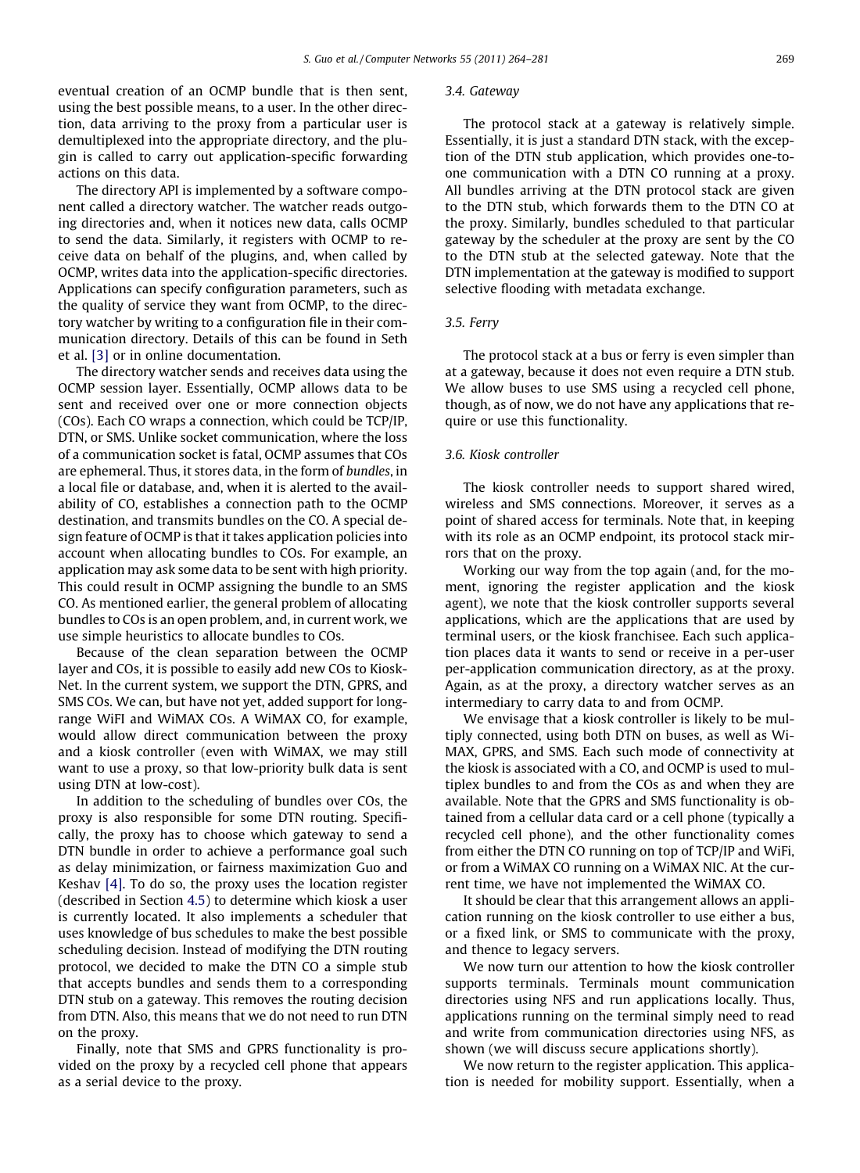eventual creation of an OCMP bundle that is then sent, using the best possible means, to a user. In the other direction, data arriving to the proxy from a particular user is demultiplexed into the appropriate directory, and the plugin is called to carry out application-specific forwarding actions on this data.

The directory API is implemented by a software component called a directory watcher. The watcher reads outgoing directories and, when it notices new data, calls OCMP to send the data. Similarly, it registers with OCMP to receive data on behalf of the plugins, and, when called by OCMP, writes data into the application-specific directories. Applications can specify configuration parameters, such as the quality of service they want from OCMP, to the directory watcher by writing to a configuration file in their communication directory. Details of this can be found in Seth et al. [\[3\]](#page-16-0) or in online documentation.

The directory watcher sends and receives data using the OCMP session layer. Essentially, OCMP allows data to be sent and received over one or more connection objects (COs). Each CO wraps a connection, which could be TCP/IP, DTN, or SMS. Unlike socket communication, where the loss of a communication socket is fatal, OCMP assumes that COs are ephemeral. Thus, it stores data, in the form of bundles, in a local file or database, and, when it is alerted to the availability of CO, establishes a connection path to the OCMP destination, and transmits bundles on the CO. A special design feature of OCMP is that it takes application policies into account when allocating bundles to COs. For example, an application may ask some data to be sent with high priority. This could result in OCMP assigning the bundle to an SMS CO. As mentioned earlier, the general problem of allocating bundles to COs is an open problem, and, in current work, we use simple heuristics to allocate bundles to COs.

Because of the clean separation between the OCMP layer and COs, it is possible to easily add new COs to Kiosk-Net. In the current system, we support the DTN, GPRS, and SMS COs. We can, but have not yet, added support for longrange WiFI and WiMAX COs. A WiMAX CO, for example, would allow direct communication between the proxy and a kiosk controller (even with WiMAX, we may still want to use a proxy, so that low-priority bulk data is sent using DTN at low-cost).

In addition to the scheduling of bundles over COs, the proxy is also responsible for some DTN routing. Specifically, the proxy has to choose which gateway to send a DTN bundle in order to achieve a performance goal such as delay minimization, or fairness maximization Guo and Keshav [\[4\]](#page-16-0). To do so, the proxy uses the location register (described in Section 4.5) to determine which kiosk a user is currently located. It also implements a scheduler that uses knowledge of bus schedules to make the best possible scheduling decision. Instead of modifying the DTN routing protocol, we decided to make the DTN CO a simple stub that accepts bundles and sends them to a corresponding DTN stub on a gateway. This removes the routing decision from DTN. Also, this means that we do not need to run DTN on the proxy.

Finally, note that SMS and GPRS functionality is provided on the proxy by a recycled cell phone that appears as a serial device to the proxy.

#### 3.4. Gateway

The protocol stack at a gateway is relatively simple. Essentially, it is just a standard DTN stack, with the exception of the DTN stub application, which provides one-toone communication with a DTN CO running at a proxy. All bundles arriving at the DTN protocol stack are given to the DTN stub, which forwards them to the DTN CO at the proxy. Similarly, bundles scheduled to that particular gateway by the scheduler at the proxy are sent by the CO to the DTN stub at the selected gateway. Note that the DTN implementation at the gateway is modified to support selective flooding with metadata exchange.

# 3.5. Ferry

The protocol stack at a bus or ferry is even simpler than at a gateway, because it does not even require a DTN stub. We allow buses to use SMS using a recycled cell phone, though, as of now, we do not have any applications that require or use this functionality.

#### 3.6. Kiosk controller

The kiosk controller needs to support shared wired, wireless and SMS connections. Moreover, it serves as a point of shared access for terminals. Note that, in keeping with its role as an OCMP endpoint, its protocol stack mirrors that on the proxy.

Working our way from the top again (and, for the moment, ignoring the register application and the kiosk agent), we note that the kiosk controller supports several applications, which are the applications that are used by terminal users, or the kiosk franchisee. Each such application places data it wants to send or receive in a per-user per-application communication directory, as at the proxy. Again, as at the proxy, a directory watcher serves as an intermediary to carry data to and from OCMP.

We envisage that a kiosk controller is likely to be multiply connected, using both DTN on buses, as well as Wi-MAX, GPRS, and SMS. Each such mode of connectivity at the kiosk is associated with a CO, and OCMP is used to multiplex bundles to and from the COs as and when they are available. Note that the GPRS and SMS functionality is obtained from a cellular data card or a cell phone (typically a recycled cell phone), and the other functionality comes from either the DTN CO running on top of TCP/IP and WiFi, or from a WiMAX CO running on a WiMAX NIC. At the current time, we have not implemented the WiMAX CO.

It should be clear that this arrangement allows an application running on the kiosk controller to use either a bus, or a fixed link, or SMS to communicate with the proxy, and thence to legacy servers.

We now turn our attention to how the kiosk controller supports terminals. Terminals mount communication directories using NFS and run applications locally. Thus, applications running on the terminal simply need to read and write from communication directories using NFS, as shown (we will discuss secure applications shortly).

We now return to the register application. This application is needed for mobility support. Essentially, when a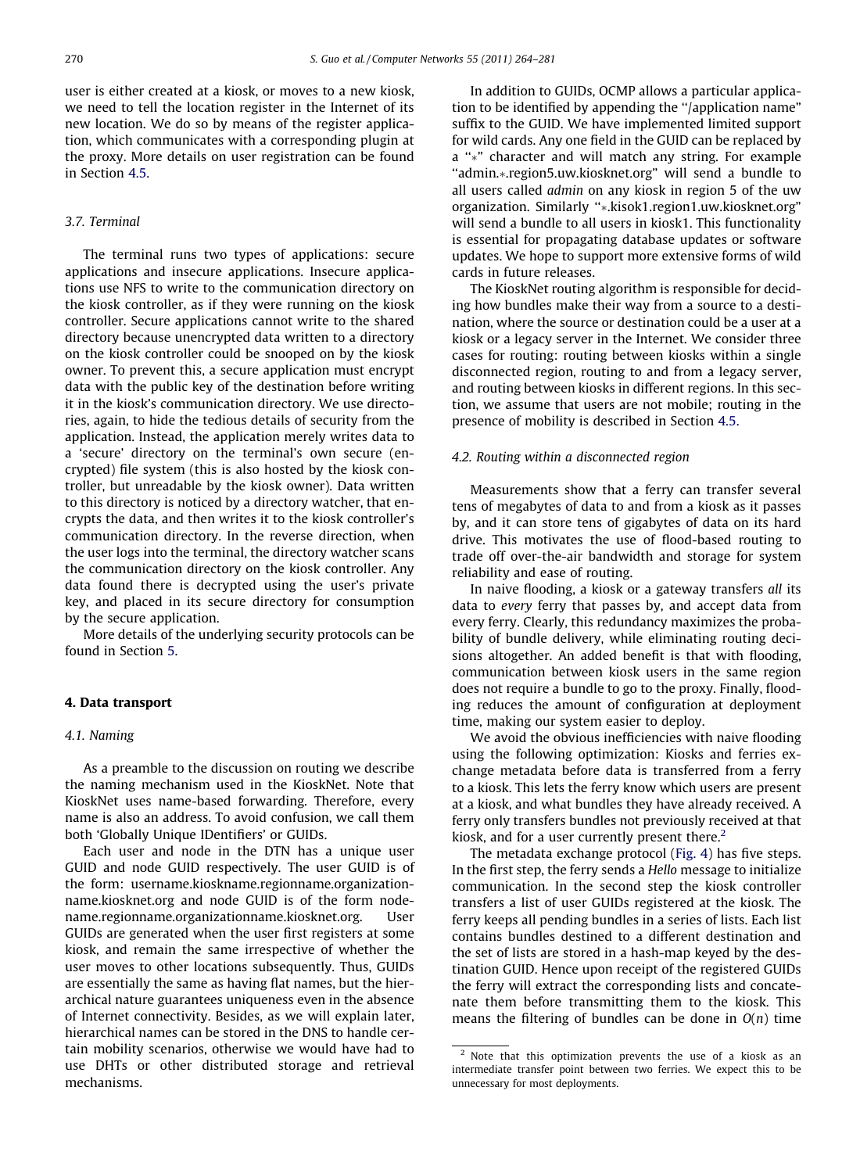user is either created at a kiosk, or moves to a new kiosk, we need to tell the location register in the Internet of its new location. We do so by means of the register application, which communicates with a corresponding plugin at the proxy. More details on user registration can be found in Section 4.5.

# 3.7. Terminal

The terminal runs two types of applications: secure applications and insecure applications. Insecure applications use NFS to write to the communication directory on the kiosk controller, as if they were running on the kiosk controller. Secure applications cannot write to the shared directory because unencrypted data written to a directory on the kiosk controller could be snooped on by the kiosk owner. To prevent this, a secure application must encrypt data with the public key of the destination before writing it in the kiosk's communication directory. We use directories, again, to hide the tedious details of security from the application. Instead, the application merely writes data to a 'secure' directory on the terminal's own secure (encrypted) file system (this is also hosted by the kiosk controller, but unreadable by the kiosk owner). Data written to this directory is noticed by a directory watcher, that encrypts the data, and then writes it to the kiosk controller's communication directory. In the reverse direction, when the user logs into the terminal, the directory watcher scans the communication directory on the kiosk controller. Any data found there is decrypted using the user's private key, and placed in its secure directory for consumption by the secure application.

More details of the underlying security protocols can be found in Section 5.

# 4. Data transport

#### 4.1. Naming

As a preamble to the discussion on routing we describe the naming mechanism used in the KioskNet. Note that KioskNet uses name-based forwarding. Therefore, every name is also an address. To avoid confusion, we call them both 'Globally Unique IDentifiers' or GUIDs.

Each user and node in the DTN has a unique user GUID and node GUID respectively. The user GUID is of the form: username.kioskname.regionname.organizationname.kiosknet.org and node GUID is of the form nodename.regionname.organizationname.kiosknet.org. User GUIDs are generated when the user first registers at some kiosk, and remain the same irrespective of whether the user moves to other locations subsequently. Thus, GUIDs are essentially the same as having flat names, but the hierarchical nature guarantees uniqueness even in the absence of Internet connectivity. Besides, as we will explain later, hierarchical names can be stored in the DNS to handle certain mobility scenarios, otherwise we would have had to use DHTs or other distributed storage and retrieval mechanisms.

In addition to GUIDs, OCMP allows a particular application to be identified by appending the ''/application name" suffix to the GUID. We have implemented limited support for wild cards. Any one field in the GUID can be replaced by  $a^*$ " character and will match any string. For example "admin.\*.region5.uw.kiosknet.org" will send a bundle to all users called admin on any kiosk in region 5 of the uw organization. Similarly ''.kisok1.region1.uw.kiosknet.org" will send a bundle to all users in kiosk1. This functionality is essential for propagating database updates or software updates. We hope to support more extensive forms of wild cards in future releases.

The KioskNet routing algorithm is responsible for deciding how bundles make their way from a source to a destination, where the source or destination could be a user at a kiosk or a legacy server in the Internet. We consider three cases for routing: routing between kiosks within a single disconnected region, routing to and from a legacy server, and routing between kiosks in different regions. In this section, we assume that users are not mobile; routing in the presence of mobility is described in Section 4.5.

#### 4.2. Routing within a disconnected region

Measurements show that a ferry can transfer several tens of megabytes of data to and from a kiosk as it passes by, and it can store tens of gigabytes of data on its hard drive. This motivates the use of flood-based routing to trade off over-the-air bandwidth and storage for system reliability and ease of routing.

In naive flooding, a kiosk or a gateway transfers all its data to every ferry that passes by, and accept data from every ferry. Clearly, this redundancy maximizes the probability of bundle delivery, while eliminating routing decisions altogether. An added benefit is that with flooding, communication between kiosk users in the same region does not require a bundle to go to the proxy. Finally, flooding reduces the amount of configuration at deployment time, making our system easier to deploy.

We avoid the obvious inefficiencies with naive flooding using the following optimization: Kiosks and ferries exchange metadata before data is transferred from a ferry to a kiosk. This lets the ferry know which users are present at a kiosk, and what bundles they have already received. A ferry only transfers bundles not previously received at that kiosk, and for a user currently present there. $<sup>2</sup>$ </sup>

The metadata exchange protocol ([Fig. 4](#page-7-0)) has five steps. In the first step, the ferry sends a Hello message to initialize communication. In the second step the kiosk controller transfers a list of user GUIDs registered at the kiosk. The ferry keeps all pending bundles in a series of lists. Each list contains bundles destined to a different destination and the set of lists are stored in a hash-map keyed by the destination GUID. Hence upon receipt of the registered GUIDs the ferry will extract the corresponding lists and concatenate them before transmitting them to the kiosk. This means the filtering of bundles can be done in  $O(n)$  time

 $2$  Note that this optimization prevents the use of a kiosk as an intermediate transfer point between two ferries. We expect this to be unnecessary for most deployments.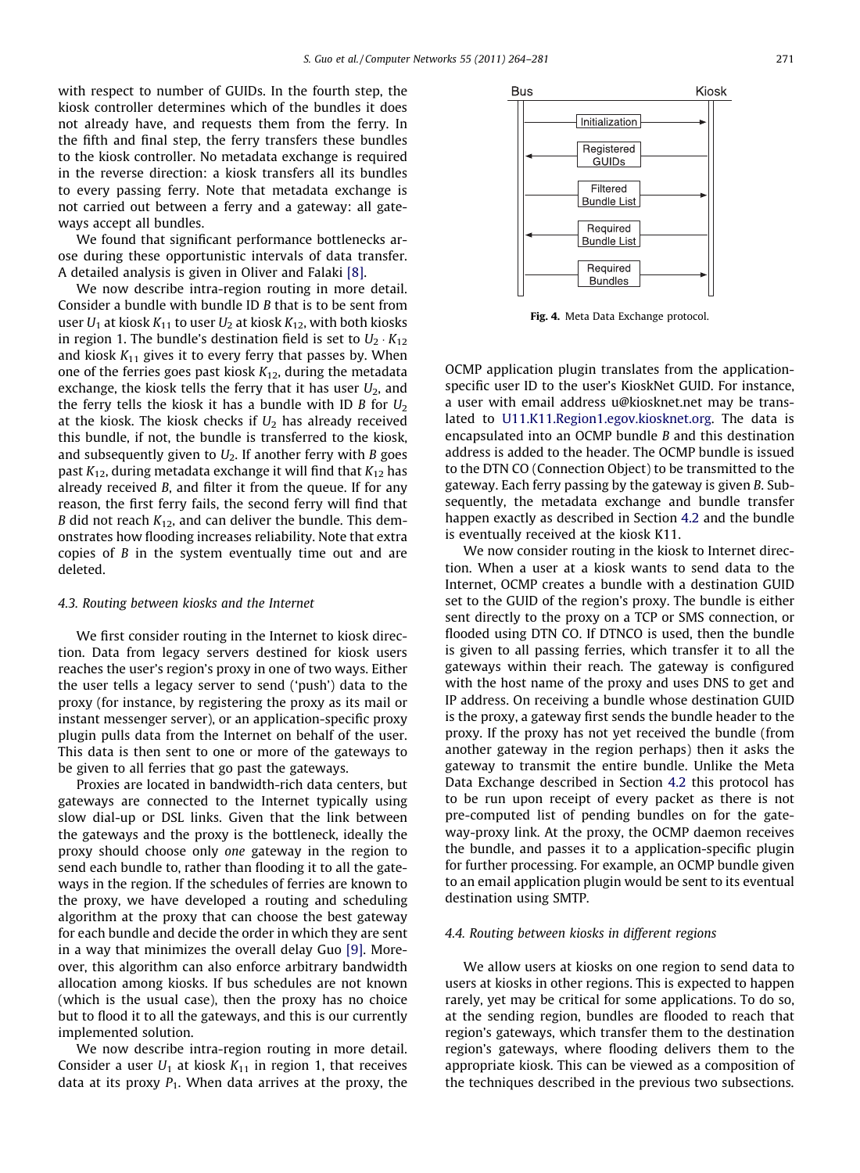**Bus** 

<span id="page-7-0"></span>with respect to number of GUIDs. In the fourth step, the kiosk controller determines which of the bundles it does not already have, and requests them from the ferry. In the fifth and final step, the ferry transfers these bundles to the kiosk controller. No metadata exchange is required in the reverse direction: a kiosk transfers all its bundles to every passing ferry. Note that metadata exchange is not carried out between a ferry and a gateway: all gateways accept all bundles.

We found that significant performance bottlenecks arose during these opportunistic intervals of data transfer. A detailed analysis is given in Oliver and Falaki [\[8\]](#page-16-0).

We now describe intra-region routing in more detail. Consider a bundle with bundle ID B that is to be sent from user  $U_1$  at kiosk  $K_{11}$  to user  $U_2$  at kiosk  $K_{12}$ , with both kiosks in region 1. The bundle's destination field is set to  $U_2 \cdot K_{12}$ and kiosk  $K_{11}$  gives it to every ferry that passes by. When one of the ferries goes past kiosk  $K_{12}$ , during the metadata exchange, the kiosk tells the ferry that it has user  $U_2$ , and the ferry tells the kiosk it has a bundle with ID B for  $U_2$ at the kiosk. The kiosk checks if  $U_2$  has already received this bundle, if not, the bundle is transferred to the kiosk, and subsequently given to  $U_2$ . If another ferry with B goes past  $K_{12}$ , during metadata exchange it will find that  $K_{12}$  has already received B, and filter it from the queue. If for any reason, the first ferry fails, the second ferry will find that B did not reach  $K_{12}$ , and can deliver the bundle. This demonstrates how flooding increases reliability. Note that extra copies of  $B$  in the system eventually time out and are deleted.

#### 4.3. Routing between kiosks and the Internet

We first consider routing in the Internet to kiosk direction. Data from legacy servers destined for kiosk users reaches the user's region's proxy in one of two ways. Either the user tells a legacy server to send ('push') data to the proxy (for instance, by registering the proxy as its mail or instant messenger server), or an application-specific proxy plugin pulls data from the Internet on behalf of the user. This data is then sent to one or more of the gateways to be given to all ferries that go past the gateways.

Proxies are located in bandwidth-rich data centers, but gateways are connected to the Internet typically using slow dial-up or DSL links. Given that the link between the gateways and the proxy is the bottleneck, ideally the proxy should choose only one gateway in the region to send each bundle to, rather than flooding it to all the gateways in the region. If the schedules of ferries are known to the proxy, we have developed a routing and scheduling algorithm at the proxy that can choose the best gateway for each bundle and decide the order in which they are sent in a way that minimizes the overall delay Guo [\[9\].](#page-16-0) Moreover, this algorithm can also enforce arbitrary bandwidth allocation among kiosks. If bus schedules are not known (which is the usual case), then the proxy has no choice but to flood it to all the gateways, and this is our currently implemented solution.

We now describe intra-region routing in more detail. Consider a user  $U_1$  at kiosk  $K_{11}$  in region 1, that receives data at its proxy  $P_1$ . When data arrives at the proxy, the

Fig. 4. Meta Data Exchange protocol.

Initialization Registered GUIDS Filtered **Bundle List** Required **Bundle List** Required **Bundles** 

OCMP application plugin translates from the applicationspecific user ID to the user's KioskNet GUID. For instance, a user with email address u@kiosknet.net may be translated to [U11.K11.Region1.egov.kiosknet.org](http://U11.K11.Region1.egov.kiosknet.org). The data is encapsulated into an OCMP bundle B and this destination address is added to the header. The OCMP bundle is issued to the DTN CO (Connection Object) to be transmitted to the gateway. Each ferry passing by the gateway is given B. Subsequently, the metadata exchange and bundle transfer happen exactly as described in Section 4.2 and the bundle is eventually received at the kiosk K11.

We now consider routing in the kiosk to Internet direction. When a user at a kiosk wants to send data to the Internet, OCMP creates a bundle with a destination GUID set to the GUID of the region's proxy. The bundle is either sent directly to the proxy on a TCP or SMS connection, or flooded using DTN CO. If DTNCO is used, then the bundle is given to all passing ferries, which transfer it to all the gateways within their reach. The gateway is configured with the host name of the proxy and uses DNS to get and IP address. On receiving a bundle whose destination GUID is the proxy, a gateway first sends the bundle header to the proxy. If the proxy has not yet received the bundle (from another gateway in the region perhaps) then it asks the gateway to transmit the entire bundle. Unlike the Meta Data Exchange described in Section 4.2 this protocol has to be run upon receipt of every packet as there is not pre-computed list of pending bundles on for the gateway-proxy link. At the proxy, the OCMP daemon receives the bundle, and passes it to a application-specific plugin for further processing. For example, an OCMP bundle given to an email application plugin would be sent to its eventual destination using SMTP.

#### 4.4. Routing between kiosks in different regions

We allow users at kiosks on one region to send data to users at kiosks in other regions. This is expected to happen rarely, yet may be critical for some applications. To do so, at the sending region, bundles are flooded to reach that region's gateways, which transfer them to the destination region's gateways, where flooding delivers them to the appropriate kiosk. This can be viewed as a composition of the techniques described in the previous two subsections.

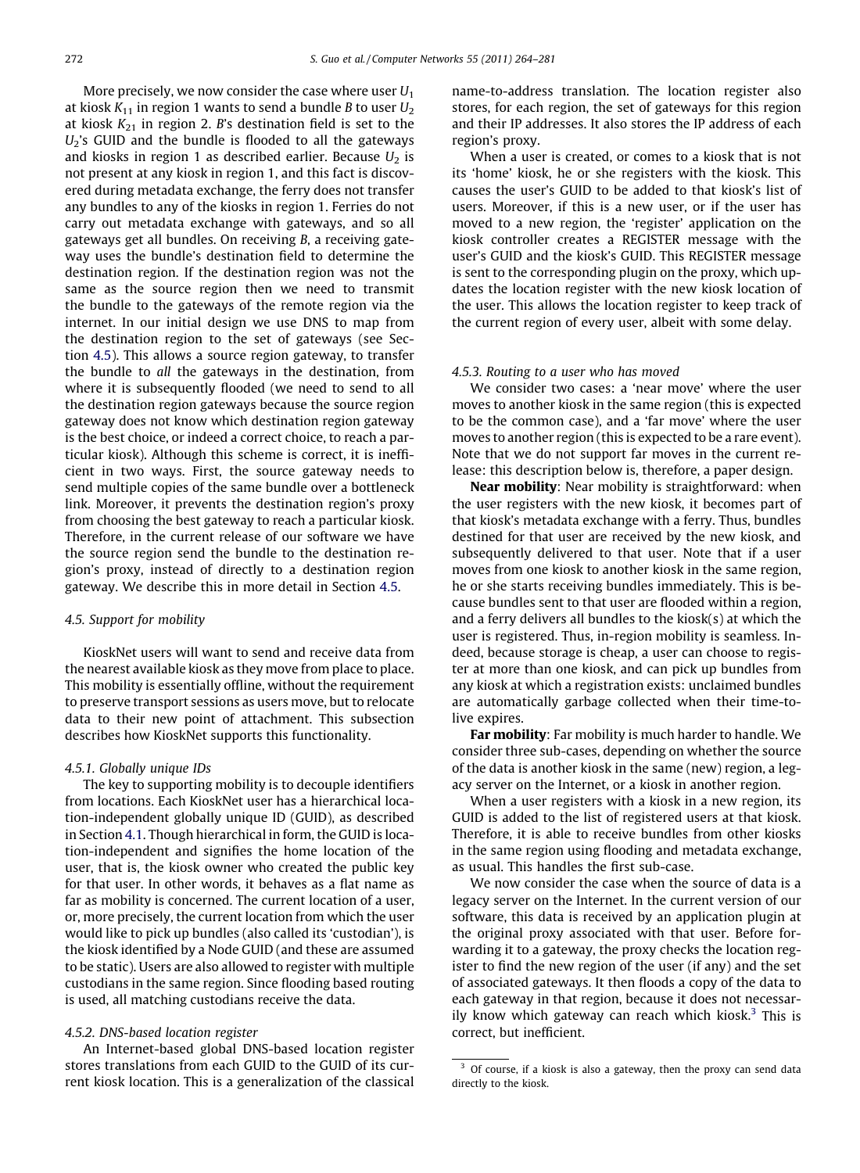More precisely, we now consider the case where user  $U_1$ at kiosk  $K_{11}$  in region 1 wants to send a bundle B to user  $U_2$ at kiosk  $K_{21}$  in region 2. B's destination field is set to the  $U_2$ 's GUID and the bundle is flooded to all the gateways and kiosks in region 1 as described earlier. Because  $U_2$  is not present at any kiosk in region 1, and this fact is discovered during metadata exchange, the ferry does not transfer any bundles to any of the kiosks in region 1. Ferries do not carry out metadata exchange with gateways, and so all gateways get all bundles. On receiving B, a receiving gateway uses the bundle's destination field to determine the destination region. If the destination region was not the same as the source region then we need to transmit the bundle to the gateways of the remote region via the internet. In our initial design we use DNS to map from the destination region to the set of gateways (see Section 4.5). This allows a source region gateway, to transfer the bundle to all the gateways in the destination, from where it is subsequently flooded (we need to send to all the destination region gateways because the source region gateway does not know which destination region gateway is the best choice, or indeed a correct choice, to reach a particular kiosk). Although this scheme is correct, it is inefficient in two ways. First, the source gateway needs to send multiple copies of the same bundle over a bottleneck link. Moreover, it prevents the destination region's proxy from choosing the best gateway to reach a particular kiosk. Therefore, in the current release of our software we have the source region send the bundle to the destination region's proxy, instead of directly to a destination region gateway. We describe this in more detail in Section 4.5.

## 4.5. Support for mobility

KioskNet users will want to send and receive data from the nearest available kiosk as they move from place to place. This mobility is essentially offline, without the requirement to preserve transport sessions as users move, but to relocate data to their new point of attachment. This subsection describes how KioskNet supports this functionality.

#### 4.5.1. Globally unique IDs

The key to supporting mobility is to decouple identifiers from locations. Each KioskNet user has a hierarchical location-independent globally unique ID (GUID), as described in Section 4.1. Though hierarchical in form, the GUID is location-independent and signifies the home location of the user, that is, the kiosk owner who created the public key for that user. In other words, it behaves as a flat name as far as mobility is concerned. The current location of a user, or, more precisely, the current location from which the user would like to pick up bundles (also called its 'custodian'), is the kiosk identified by a Node GUID (and these are assumed to be static). Users are also allowed to register with multiple custodians in the same region. Since flooding based routing is used, all matching custodians receive the data.

# 4.5.2. DNS-based location register

An Internet-based global DNS-based location register stores translations from each GUID to the GUID of its current kiosk location. This is a generalization of the classical name-to-address translation. The location register also stores, for each region, the set of gateways for this region and their IP addresses. It also stores the IP address of each region's proxy.

When a user is created, or comes to a kiosk that is not its 'home' kiosk, he or she registers with the kiosk. This causes the user's GUID to be added to that kiosk's list of users. Moreover, if this is a new user, or if the user has moved to a new region, the 'register' application on the kiosk controller creates a REGISTER message with the user's GUID and the kiosk's GUID. This REGISTER message is sent to the corresponding plugin on the proxy, which updates the location register with the new kiosk location of the user. This allows the location register to keep track of the current region of every user, albeit with some delay.

#### 4.5.3. Routing to a user who has moved

We consider two cases: a 'near move' where the user moves to another kiosk in the same region (this is expected to be the common case), and a 'far move' where the user moves to another region (this is expected to be a rare event). Note that we do not support far moves in the current release: this description below is, therefore, a paper design.

Near mobility: Near mobility is straightforward: when the user registers with the new kiosk, it becomes part of that kiosk's metadata exchange with a ferry. Thus, bundles destined for that user are received by the new kiosk, and subsequently delivered to that user. Note that if a user moves from one kiosk to another kiosk in the same region, he or she starts receiving bundles immediately. This is because bundles sent to that user are flooded within a region, and a ferry delivers all bundles to the kiosk(s) at which the user is registered. Thus, in-region mobility is seamless. Indeed, because storage is cheap, a user can choose to register at more than one kiosk, and can pick up bundles from any kiosk at which a registration exists: unclaimed bundles are automatically garbage collected when their time-tolive expires.

Far mobility: Far mobility is much harder to handle. We consider three sub-cases, depending on whether the source of the data is another kiosk in the same (new) region, a legacy server on the Internet, or a kiosk in another region.

When a user registers with a kiosk in a new region, its GUID is added to the list of registered users at that kiosk. Therefore, it is able to receive bundles from other kiosks in the same region using flooding and metadata exchange, as usual. This handles the first sub-case.

We now consider the case when the source of data is a legacy server on the Internet. In the current version of our software, this data is received by an application plugin at the original proxy associated with that user. Before forwarding it to a gateway, the proxy checks the location register to find the new region of the user (if any) and the set of associated gateways. It then floods a copy of the data to each gateway in that region, because it does not necessarily know which gateway can reach which kiosk. $3$  This is correct, but inefficient.

<sup>&</sup>lt;sup>3</sup> Of course, if a kiosk is also a gateway, then the proxy can send data directly to the kiosk.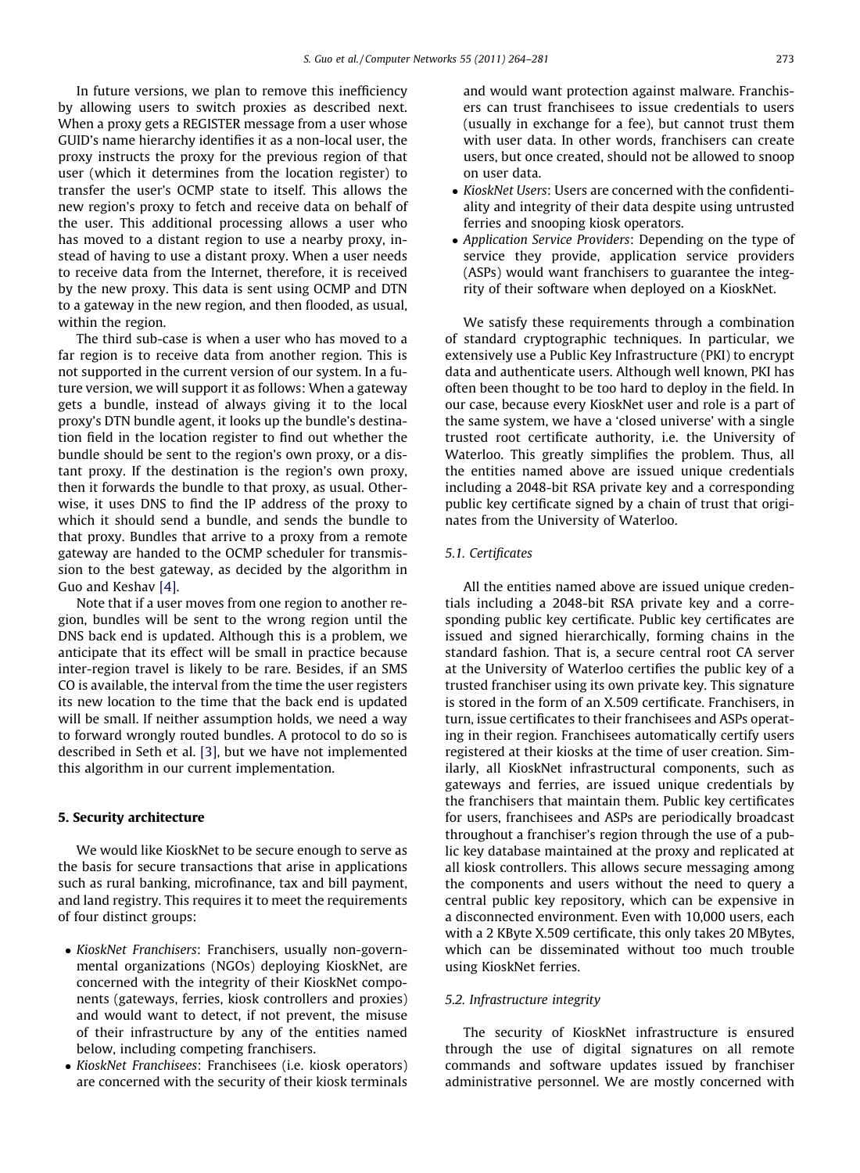In future versions, we plan to remove this inefficiency by allowing users to switch proxies as described next. When a proxy gets a REGISTER message from a user whose GUID's name hierarchy identifies it as a non-local user, the proxy instructs the proxy for the previous region of that user (which it determines from the location register) to transfer the user's OCMP state to itself. This allows the new region's proxy to fetch and receive data on behalf of the user. This additional processing allows a user who has moved to a distant region to use a nearby proxy, instead of having to use a distant proxy. When a user needs to receive data from the Internet, therefore, it is received by the new proxy. This data is sent using OCMP and DTN to a gateway in the new region, and then flooded, as usual, within the region.

The third sub-case is when a user who has moved to a far region is to receive data from another region. This is not supported in the current version of our system. In a future version, we will support it as follows: When a gateway gets a bundle, instead of always giving it to the local proxy's DTN bundle agent, it looks up the bundle's destination field in the location register to find out whether the bundle should be sent to the region's own proxy, or a distant proxy. If the destination is the region's own proxy, then it forwards the bundle to that proxy, as usual. Otherwise, it uses DNS to find the IP address of the proxy to which it should send a bundle, and sends the bundle to that proxy. Bundles that arrive to a proxy from a remote gateway are handed to the OCMP scheduler for transmission to the best gateway, as decided by the algorithm in Guo and Keshav [\[4\].](#page-16-0)

Note that if a user moves from one region to another region, bundles will be sent to the wrong region until the DNS back end is updated. Although this is a problem, we anticipate that its effect will be small in practice because inter-region travel is likely to be rare. Besides, if an SMS CO is available, the interval from the time the user registers its new location to the time that the back end is updated will be small. If neither assumption holds, we need a way to forward wrongly routed bundles. A protocol to do so is described in Seth et al. [\[3\]](#page-16-0), but we have not implemented this algorithm in our current implementation.

# 5. Security architecture

We would like KioskNet to be secure enough to serve as the basis for secure transactions that arise in applications such as rural banking, microfinance, tax and bill payment, and land registry. This requires it to meet the requirements of four distinct groups:

- KioskNet Franchisers: Franchisers, usually non-governmental organizations (NGOs) deploying KioskNet, are concerned with the integrity of their KioskNet components (gateways, ferries, kiosk controllers and proxies) and would want to detect, if not prevent, the misuse of their infrastructure by any of the entities named below, including competing franchisers.
- KioskNet Franchisees: Franchisees (i.e. kiosk operators) are concerned with the security of their kiosk terminals

and would want protection against malware. Franchisers can trust franchisees to issue credentials to users (usually in exchange for a fee), but cannot trust them with user data. In other words, franchisers can create users, but once created, should not be allowed to snoop on user data.

- KioskNet Users: Users are concerned with the confidentiality and integrity of their data despite using untrusted ferries and snooping kiosk operators.
- Application Service Providers: Depending on the type of service they provide, application service providers (ASPs) would want franchisers to guarantee the integrity of their software when deployed on a KioskNet.

We satisfy these requirements through a combination of standard cryptographic techniques. In particular, we extensively use a Public Key Infrastructure (PKI) to encrypt data and authenticate users. Although well known, PKI has often been thought to be too hard to deploy in the field. In our case, because every KioskNet user and role is a part of the same system, we have a 'closed universe' with a single trusted root certificate authority, i.e. the University of Waterloo. This greatly simplifies the problem. Thus, all the entities named above are issued unique credentials including a 2048-bit RSA private key and a corresponding public key certificate signed by a chain of trust that originates from the University of Waterloo.

#### 5.1. Certificates

All the entities named above are issued unique credentials including a 2048-bit RSA private key and a corresponding public key certificate. Public key certificates are issued and signed hierarchically, forming chains in the standard fashion. That is, a secure central root CA server at the University of Waterloo certifies the public key of a trusted franchiser using its own private key. This signature is stored in the form of an X.509 certificate. Franchisers, in turn, issue certificates to their franchisees and ASPs operating in their region. Franchisees automatically certify users registered at their kiosks at the time of user creation. Similarly, all KioskNet infrastructural components, such as gateways and ferries, are issued unique credentials by the franchisers that maintain them. Public key certificates for users, franchisees and ASPs are periodically broadcast throughout a franchiser's region through the use of a public key database maintained at the proxy and replicated at all kiosk controllers. This allows secure messaging among the components and users without the need to query a central public key repository, which can be expensive in a disconnected environment. Even with 10,000 users, each with a 2 KByte X.509 certificate, this only takes 20 MBytes, which can be disseminated without too much trouble using KioskNet ferries.

# 5.2. Infrastructure integrity

The security of KioskNet infrastructure is ensured through the use of digital signatures on all remote commands and software updates issued by franchiser administrative personnel. We are mostly concerned with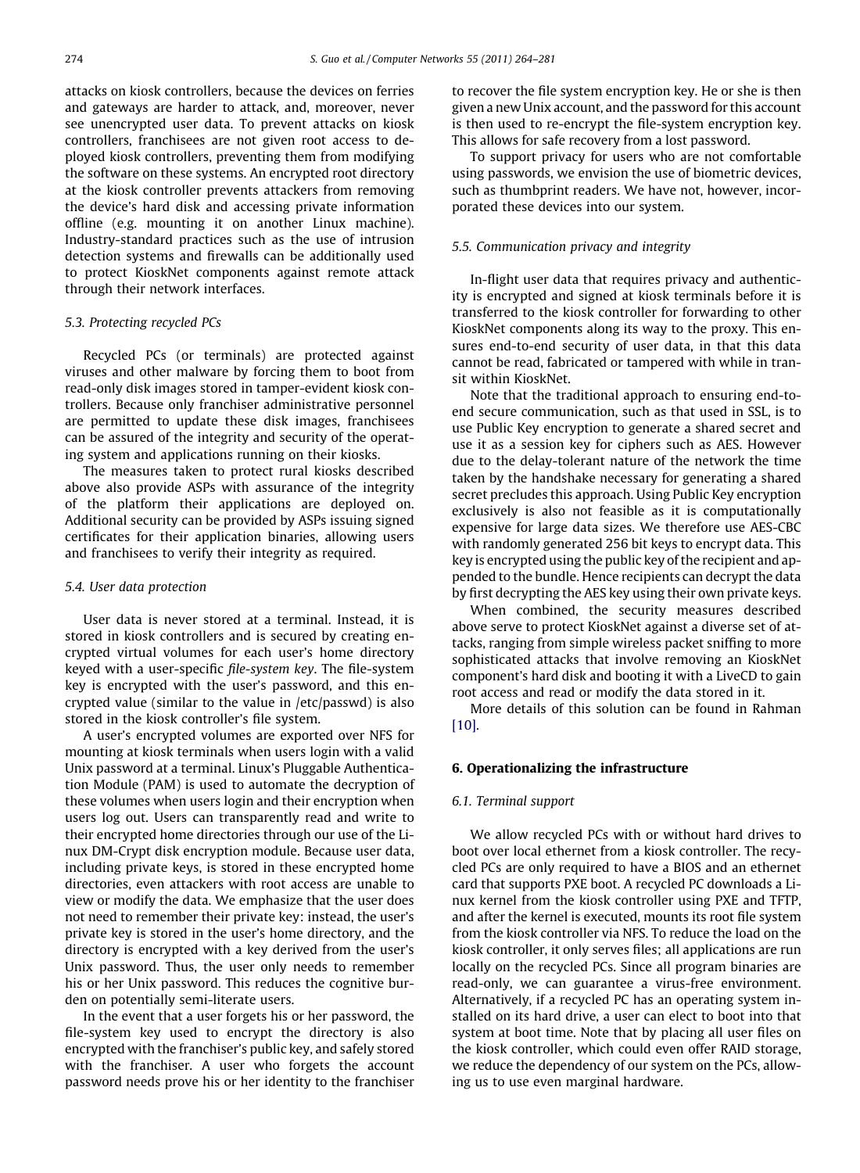attacks on kiosk controllers, because the devices on ferries and gateways are harder to attack, and, moreover, never see unencrypted user data. To prevent attacks on kiosk controllers, franchisees are not given root access to deployed kiosk controllers, preventing them from modifying the software on these systems. An encrypted root directory at the kiosk controller prevents attackers from removing the device's hard disk and accessing private information offline (e.g. mounting it on another Linux machine). Industry-standard practices such as the use of intrusion detection systems and firewalls can be additionally used to protect KioskNet components against remote attack through their network interfaces.

# 5.3. Protecting recycled PCs

Recycled PCs (or terminals) are protected against viruses and other malware by forcing them to boot from read-only disk images stored in tamper-evident kiosk controllers. Because only franchiser administrative personnel are permitted to update these disk images, franchisees can be assured of the integrity and security of the operating system and applications running on their kiosks.

The measures taken to protect rural kiosks described above also provide ASPs with assurance of the integrity of the platform their applications are deployed on. Additional security can be provided by ASPs issuing signed certificates for their application binaries, allowing users and franchisees to verify their integrity as required.

#### 5.4. User data protection

User data is never stored at a terminal. Instead, it is stored in kiosk controllers and is secured by creating encrypted virtual volumes for each user's home directory keyed with a user-specific file-system key. The file-system key is encrypted with the user's password, and this encrypted value (similar to the value in /etc/passwd) is also stored in the kiosk controller's file system.

A user's encrypted volumes are exported over NFS for mounting at kiosk terminals when users login with a valid Unix password at a terminal. Linux's Pluggable Authentication Module (PAM) is used to automate the decryption of these volumes when users login and their encryption when users log out. Users can transparently read and write to their encrypted home directories through our use of the Linux DM-Crypt disk encryption module. Because user data, including private keys, is stored in these encrypted home directories, even attackers with root access are unable to view or modify the data. We emphasize that the user does not need to remember their private key: instead, the user's private key is stored in the user's home directory, and the directory is encrypted with a key derived from the user's Unix password. Thus, the user only needs to remember his or her Unix password. This reduces the cognitive burden on potentially semi-literate users.

In the event that a user forgets his or her password, the file-system key used to encrypt the directory is also encrypted with the franchiser's public key, and safely stored with the franchiser. A user who forgets the account password needs prove his or her identity to the franchiser

to recover the file system encryption key. He or she is then given a new Unix account, and the password for this account is then used to re-encrypt the file-system encryption key. This allows for safe recovery from a lost password.

To support privacy for users who are not comfortable using passwords, we envision the use of biometric devices, such as thumbprint readers. We have not, however, incorporated these devices into our system.

#### 5.5. Communication privacy and integrity

In-flight user data that requires privacy and authenticity is encrypted and signed at kiosk terminals before it is transferred to the kiosk controller for forwarding to other KioskNet components along its way to the proxy. This ensures end-to-end security of user data, in that this data cannot be read, fabricated or tampered with while in transit within KioskNet.

Note that the traditional approach to ensuring end-toend secure communication, such as that used in SSL, is to use Public Key encryption to generate a shared secret and use it as a session key for ciphers such as AES. However due to the delay-tolerant nature of the network the time taken by the handshake necessary for generating a shared secret precludes this approach. Using Public Key encryption exclusively is also not feasible as it is computationally expensive for large data sizes. We therefore use AES-CBC with randomly generated 256 bit keys to encrypt data. This key is encrypted using the public key of the recipient and appended to the bundle. Hence recipients can decrypt the data by first decrypting the AES key using their own private keys.

When combined, the security measures described above serve to protect KioskNet against a diverse set of attacks, ranging from simple wireless packet sniffing to more sophisticated attacks that involve removing an KioskNet component's hard disk and booting it with a LiveCD to gain root access and read or modify the data stored in it.

More details of this solution can be found in Rahman [\[10\].](#page-16-0)

# 6. Operationalizing the infrastructure

#### 6.1. Terminal support

We allow recycled PCs with or without hard drives to boot over local ethernet from a kiosk controller. The recycled PCs are only required to have a BIOS and an ethernet card that supports PXE boot. A recycled PC downloads a Linux kernel from the kiosk controller using PXE and TFTP, and after the kernel is executed, mounts its root file system from the kiosk controller via NFS. To reduce the load on the kiosk controller, it only serves files; all applications are run locally on the recycled PCs. Since all program binaries are read-only, we can guarantee a virus-free environment. Alternatively, if a recycled PC has an operating system installed on its hard drive, a user can elect to boot into that system at boot time. Note that by placing all user files on the kiosk controller, which could even offer RAID storage, we reduce the dependency of our system on the PCs, allowing us to use even marginal hardware.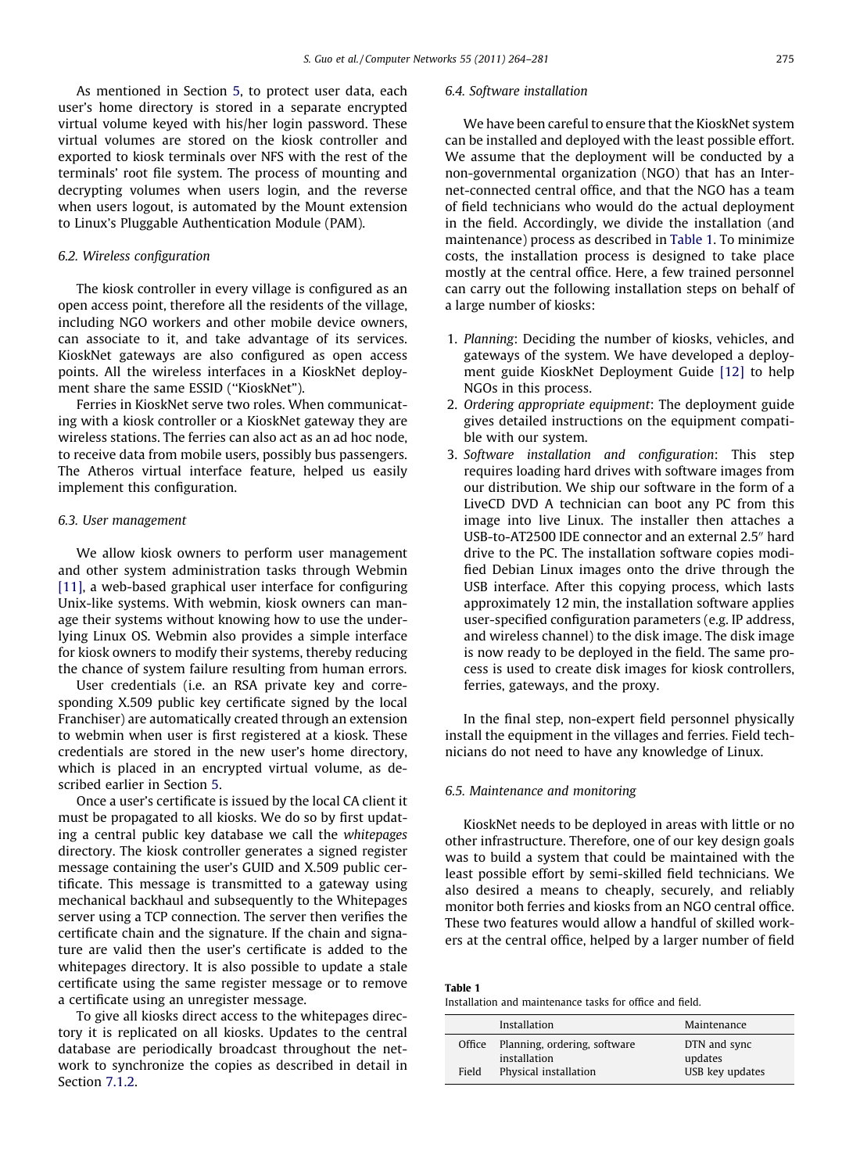As mentioned in Section 5, to protect user data, each user's home directory is stored in a separate encrypted virtual volume keyed with his/her login password. These virtual volumes are stored on the kiosk controller and exported to kiosk terminals over NFS with the rest of the terminals' root file system. The process of mounting and decrypting volumes when users login, and the reverse when users logout, is automated by the Mount extension to Linux's Pluggable Authentication Module (PAM).

#### 6.2. Wireless configuration

The kiosk controller in every village is configured as an open access point, therefore all the residents of the village, including NGO workers and other mobile device owners, can associate to it, and take advantage of its services. KioskNet gateways are also configured as open access points. All the wireless interfaces in a KioskNet deployment share the same ESSID ("KioskNet").

Ferries in KioskNet serve two roles. When communicating with a kiosk controller or a KioskNet gateway they are wireless stations. The ferries can also act as an ad hoc node, to receive data from mobile users, possibly bus passengers. The Atheros virtual interface feature, helped us easily implement this configuration.

#### 6.3. User management

We allow kiosk owners to perform user management and other system administration tasks through Webmin [\[11\]](#page-16-0), a web-based graphical user interface for configuring Unix-like systems. With webmin, kiosk owners can manage their systems without knowing how to use the underlying Linux OS. Webmin also provides a simple interface for kiosk owners to modify their systems, thereby reducing the chance of system failure resulting from human errors.

User credentials (i.e. an RSA private key and corresponding X.509 public key certificate signed by the local Franchiser) are automatically created through an extension to webmin when user is first registered at a kiosk. These credentials are stored in the new user's home directory, which is placed in an encrypted virtual volume, as described earlier in Section 5.

Once a user's certificate is issued by the local CA client it must be propagated to all kiosks. We do so by first updating a central public key database we call the whitepages directory. The kiosk controller generates a signed register message containing the user's GUID and X.509 public certificate. This message is transmitted to a gateway using mechanical backhaul and subsequently to the Whitepages server using a TCP connection. The server then verifies the certificate chain and the signature. If the chain and signature are valid then the user's certificate is added to the whitepages directory. It is also possible to update a stale certificate using the same register message or to remove a certificate using an unregister message.

To give all kiosks direct access to the whitepages directory it is replicated on all kiosks. Updates to the central database are periodically broadcast throughout the network to synchronize the copies as described in detail in Section 7.1.2.

#### 6.4. Software installation

We have been careful to ensure that the KioskNet system can be installed and deployed with the least possible effort. We assume that the deployment will be conducted by a non-governmental organization (NGO) that has an Internet-connected central office, and that the NGO has a team of field technicians who would do the actual deployment in the field. Accordingly, we divide the installation (and maintenance) process as described in Table 1. To minimize costs, the installation process is designed to take place mostly at the central office. Here, a few trained personnel can carry out the following installation steps on behalf of a large number of kiosks:

- 1. Planning: Deciding the number of kiosks, vehicles, and gateways of the system. We have developed a deployment guide KioskNet Deployment Guide [\[12\]](#page-16-0) to help NGOs in this process.
- 2. Ordering appropriate equipment: The deployment guide gives detailed instructions on the equipment compatible with our system.
- 3. Software installation and configuration: This step requires loading hard drives with software images from our distribution. We ship our software in the form of a LiveCD DVD A technician can boot any PC from this image into live Linux. The installer then attaches a USB-to-AT2500 IDE connector and an external 2.5<sup>n</sup> hard drive to the PC. The installation software copies modified Debian Linux images onto the drive through the USB interface. After this copying process, which lasts approximately 12 min, the installation software applies user-specified configuration parameters (e.g. IP address, and wireless channel) to the disk image. The disk image is now ready to be deployed in the field. The same process is used to create disk images for kiosk controllers, ferries, gateways, and the proxy.

In the final step, non-expert field personnel physically install the equipment in the villages and ferries. Field technicians do not need to have any knowledge of Linux.

#### 6.5. Maintenance and monitoring

KioskNet needs to be deployed in areas with little or no other infrastructure. Therefore, one of our key design goals was to build a system that could be maintained with the least possible effort by semi-skilled field technicians. We also desired a means to cheaply, securely, and reliably monitor both ferries and kiosks from an NGO central office. These two features would allow a handful of skilled workers at the central office, helped by a larger number of field

#### Table 1 Installation and maintenance tasks for office and field.

|        | Installation                                 | Maintenance             |
|--------|----------------------------------------------|-------------------------|
| Office | Planning, ordering, software<br>installation | DTN and sync<br>updates |
| Field  | Physical installation                        | USB key updates         |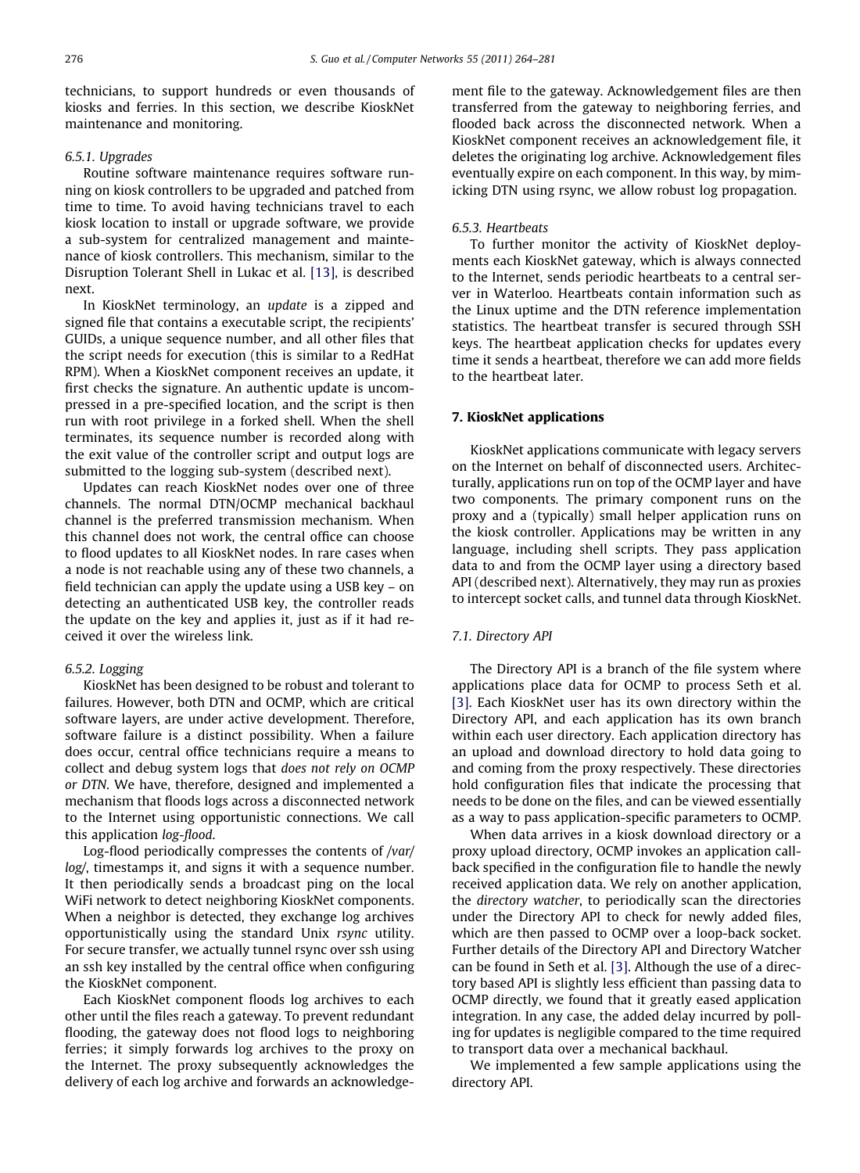technicians, to support hundreds or even thousands of kiosks and ferries. In this section, we describe KioskNet maintenance and monitoring.

## 6.5.1. Upgrades

Routine software maintenance requires software running on kiosk controllers to be upgraded and patched from time to time. To avoid having technicians travel to each kiosk location to install or upgrade software, we provide a sub-system for centralized management and maintenance of kiosk controllers. This mechanism, similar to the Disruption Tolerant Shell in Lukac et al. [\[13\]](#page-16-0), is described next.

In KioskNet terminology, an update is a zipped and signed file that contains a executable script, the recipients' GUIDs, a unique sequence number, and all other files that the script needs for execution (this is similar to a RedHat RPM). When a KioskNet component receives an update, it first checks the signature. An authentic update is uncompressed in a pre-specified location, and the script is then run with root privilege in a forked shell. When the shell terminates, its sequence number is recorded along with the exit value of the controller script and output logs are submitted to the logging sub-system (described next).

Updates can reach KioskNet nodes over one of three channels. The normal DTN/OCMP mechanical backhaul channel is the preferred transmission mechanism. When this channel does not work, the central office can choose to flood updates to all KioskNet nodes. In rare cases when a node is not reachable using any of these two channels, a field technician can apply the update using a USB key – on detecting an authenticated USB key, the controller reads the update on the key and applies it, just as if it had received it over the wireless link.

#### 6.5.2. Logging

KioskNet has been designed to be robust and tolerant to failures. However, both DTN and OCMP, which are critical software layers, are under active development. Therefore, software failure is a distinct possibility. When a failure does occur, central office technicians require a means to collect and debug system logs that does not rely on OCMP or DTN. We have, therefore, designed and implemented a mechanism that floods logs across a disconnected network to the Internet using opportunistic connections. We call this application log-flood.

Log-flood periodically compresses the contents of /var/ log/, timestamps it, and signs it with a sequence number. It then periodically sends a broadcast ping on the local WiFi network to detect neighboring KioskNet components. When a neighbor is detected, they exchange log archives opportunistically using the standard Unix rsync utility. For secure transfer, we actually tunnel rsync over ssh using an ssh key installed by the central office when configuring the KioskNet component.

Each KioskNet component floods log archives to each other until the files reach a gateway. To prevent redundant flooding, the gateway does not flood logs to neighboring ferries; it simply forwards log archives to the proxy on the Internet. The proxy subsequently acknowledges the delivery of each log archive and forwards an acknowledge-

ment file to the gateway. Acknowledgement files are then transferred from the gateway to neighboring ferries, and flooded back across the disconnected network. When a KioskNet component receives an acknowledgement file, it deletes the originating log archive. Acknowledgement files eventually expire on each component. In this way, by mimicking DTN using rsync, we allow robust log propagation.

#### 6.5.3. Heartbeats

To further monitor the activity of KioskNet deployments each KioskNet gateway, which is always connected to the Internet, sends periodic heartbeats to a central server in Waterloo. Heartbeats contain information such as the Linux uptime and the DTN reference implementation statistics. The heartbeat transfer is secured through SSH keys. The heartbeat application checks for updates every time it sends a heartbeat, therefore we can add more fields to the heartbeat later.

# 7. KioskNet applications

KioskNet applications communicate with legacy servers on the Internet on behalf of disconnected users. Architecturally, applications run on top of the OCMP layer and have two components. The primary component runs on the proxy and a (typically) small helper application runs on the kiosk controller. Applications may be written in any language, including shell scripts. They pass application data to and from the OCMP layer using a directory based API (described next). Alternatively, they may run as proxies to intercept socket calls, and tunnel data through KioskNet.

#### 7.1. Directory API

The Directory API is a branch of the file system where applications place data for OCMP to process Seth et al. [\[3\].](#page-16-0) Each KioskNet user has its own directory within the Directory API, and each application has its own branch within each user directory. Each application directory has an upload and download directory to hold data going to and coming from the proxy respectively. These directories hold configuration files that indicate the processing that needs to be done on the files, and can be viewed essentially as a way to pass application-specific parameters to OCMP.

When data arrives in a kiosk download directory or a proxy upload directory, OCMP invokes an application callback specified in the configuration file to handle the newly received application data. We rely on another application, the directory watcher, to periodically scan the directories under the Directory API to check for newly added files, which are then passed to OCMP over a loop-back socket. Further details of the Directory API and Directory Watcher can be found in Seth et al. [\[3\].](#page-16-0) Although the use of a directory based API is slightly less efficient than passing data to OCMP directly, we found that it greatly eased application integration. In any case, the added delay incurred by polling for updates is negligible compared to the time required to transport data over a mechanical backhaul.

We implemented a few sample applications using the directory API.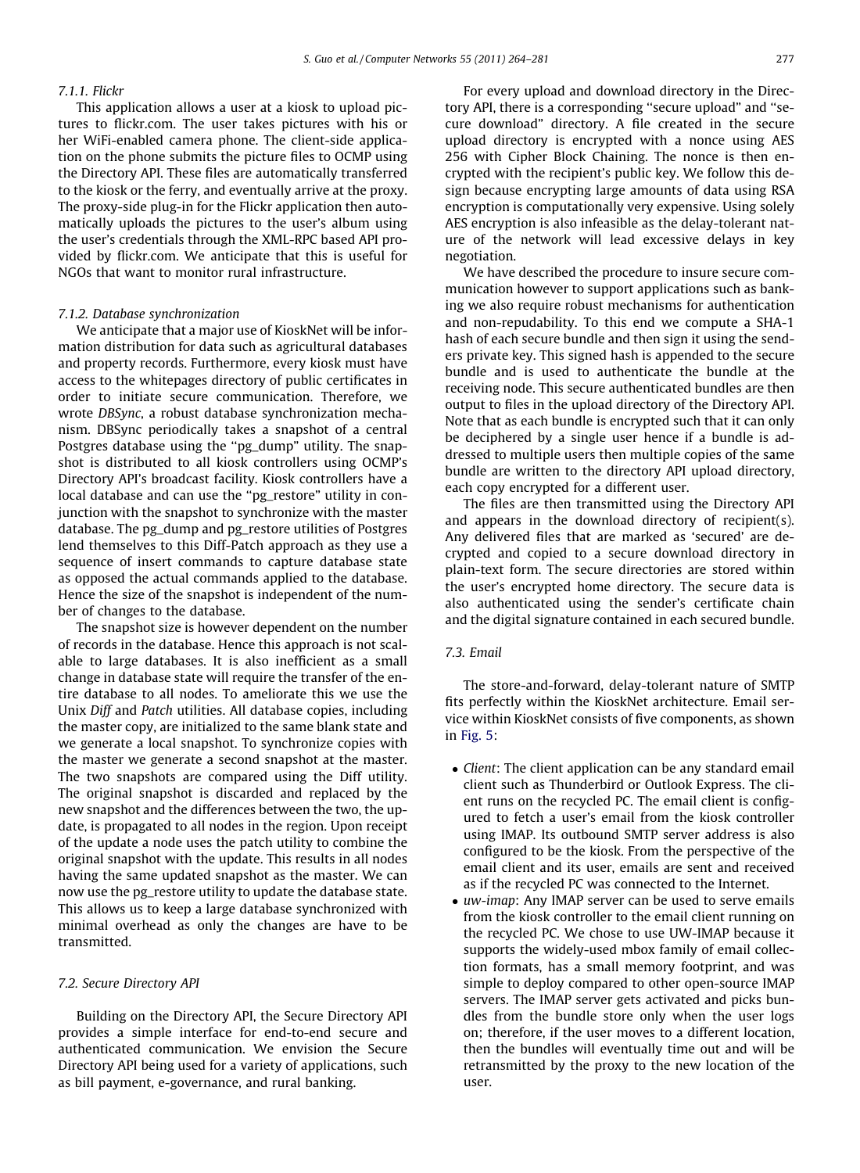# 7.1.1. Flickr

This application allows a user at a kiosk to upload pictures to flickr.com. The user takes pictures with his or her WiFi-enabled camera phone. The client-side application on the phone submits the picture files to OCMP using the Directory API. These files are automatically transferred to the kiosk or the ferry, and eventually arrive at the proxy. The proxy-side plug-in for the Flickr application then automatically uploads the pictures to the user's album using the user's credentials through the XML-RPC based API provided by flickr.com. We anticipate that this is useful for NGOs that want to monitor rural infrastructure.

#### 7.1.2. Database synchronization

We anticipate that a major use of KioskNet will be information distribution for data such as agricultural databases and property records. Furthermore, every kiosk must have access to the whitepages directory of public certificates in order to initiate secure communication. Therefore, we wrote DBSync, a robust database synchronization mechanism. DBSync periodically takes a snapshot of a central Postgres database using the ''pg\_dump" utility. The snapshot is distributed to all kiosk controllers using OCMP's Directory API's broadcast facility. Kiosk controllers have a local database and can use the "pg\_restore" utility in conjunction with the snapshot to synchronize with the master database. The pg\_dump and pg\_restore utilities of Postgres lend themselves to this Diff-Patch approach as they use a sequence of insert commands to capture database state as opposed the actual commands applied to the database. Hence the size of the snapshot is independent of the number of changes to the database.

The snapshot size is however dependent on the number of records in the database. Hence this approach is not scalable to large databases. It is also inefficient as a small change in database state will require the transfer of the entire database to all nodes. To ameliorate this we use the Unix Diff and Patch utilities. All database copies, including the master copy, are initialized to the same blank state and we generate a local snapshot. To synchronize copies with the master we generate a second snapshot at the master. The two snapshots are compared using the Diff utility. The original snapshot is discarded and replaced by the new snapshot and the differences between the two, the update, is propagated to all nodes in the region. Upon receipt of the update a node uses the patch utility to combine the original snapshot with the update. This results in all nodes having the same updated snapshot as the master. We can now use the pg\_restore utility to update the database state. This allows us to keep a large database synchronized with minimal overhead as only the changes are have to be transmitted.

#### 7.2. Secure Directory API

Building on the Directory API, the Secure Directory API provides a simple interface for end-to-end secure and authenticated communication. We envision the Secure Directory API being used for a variety of applications, such as bill payment, e-governance, and rural banking.

For every upload and download directory in the Directory API, there is a corresponding ''secure upload" and ''secure download" directory. A file created in the secure upload directory is encrypted with a nonce using AES 256 with Cipher Block Chaining. The nonce is then encrypted with the recipient's public key. We follow this design because encrypting large amounts of data using RSA encryption is computationally very expensive. Using solely AES encryption is also infeasible as the delay-tolerant nature of the network will lead excessive delays in key negotiation.

We have described the procedure to insure secure communication however to support applications such as banking we also require robust mechanisms for authentication and non-repudability. To this end we compute a SHA-1 hash of each secure bundle and then sign it using the senders private key. This signed hash is appended to the secure bundle and is used to authenticate the bundle at the receiving node. This secure authenticated bundles are then output to files in the upload directory of the Directory API. Note that as each bundle is encrypted such that it can only be deciphered by a single user hence if a bundle is addressed to multiple users then multiple copies of the same bundle are written to the directory API upload directory, each copy encrypted for a different user.

The files are then transmitted using the Directory API and appears in the download directory of recipient(s). Any delivered files that are marked as 'secured' are decrypted and copied to a secure download directory in plain-text form. The secure directories are stored within the user's encrypted home directory. The secure data is also authenticated using the sender's certificate chain and the digital signature contained in each secured bundle.

#### 7.3. Email

The store-and-forward, delay-tolerant nature of SMTP fits perfectly within the KioskNet architecture. Email service within KioskNet consists of five components, as shown in [Fig. 5](#page-14-0):

- Client: The client application can be any standard email client such as Thunderbird or Outlook Express. The client runs on the recycled PC. The email client is configured to fetch a user's email from the kiosk controller using IMAP. Its outbound SMTP server address is also configured to be the kiosk. From the perspective of the email client and its user, emails are sent and received as if the recycled PC was connected to the Internet.
- uw-imap: Any IMAP server can be used to serve emails from the kiosk controller to the email client running on the recycled PC. We chose to use UW-IMAP because it supports the widely-used mbox family of email collection formats, has a small memory footprint, and was simple to deploy compared to other open-source IMAP servers. The IMAP server gets activated and picks bundles from the bundle store only when the user logs on; therefore, if the user moves to a different location, then the bundles will eventually time out and will be retransmitted by the proxy to the new location of the user.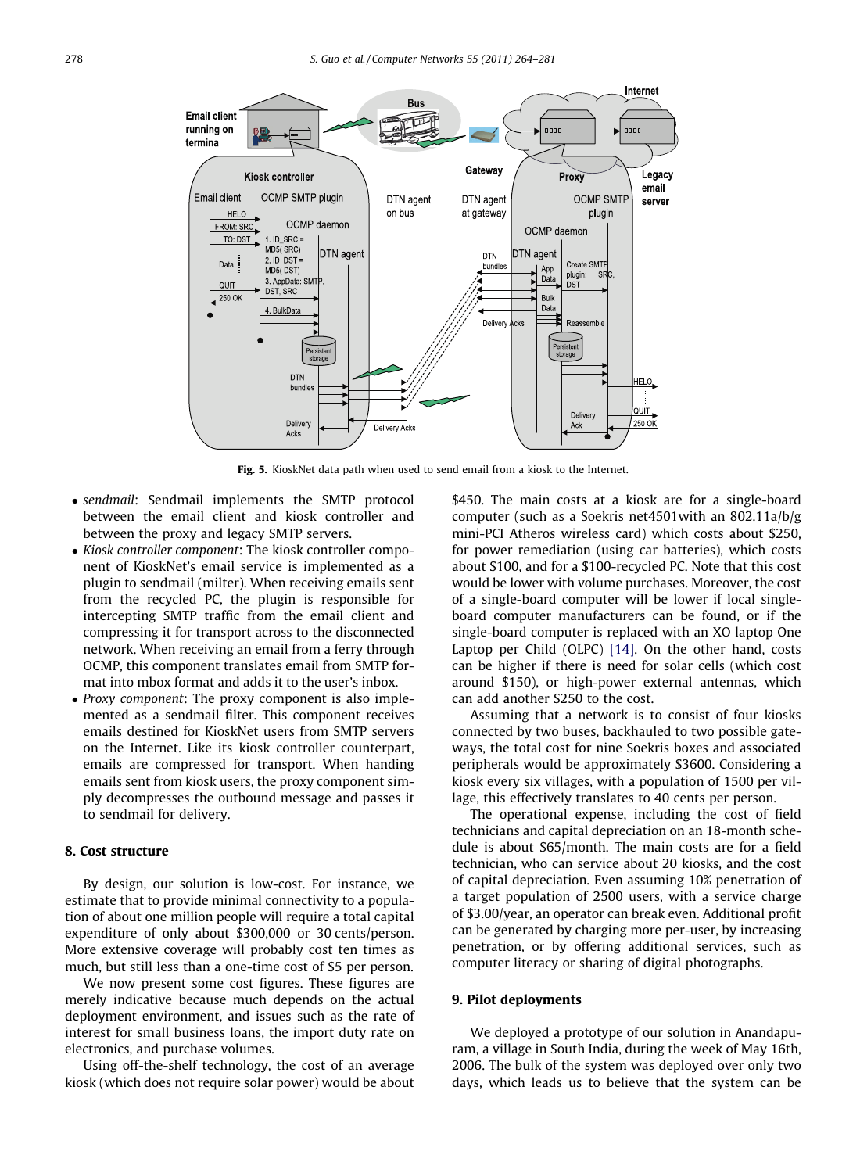<span id="page-14-0"></span>

Fig. 5. KioskNet data path when used to send email from a kiosk to the Internet.

- sendmail: Sendmail implements the SMTP protocol between the email client and kiosk controller and between the proxy and legacy SMTP servers.
- Kiosk controller component: The kiosk controller component of KioskNet's email service is implemented as a plugin to sendmail (milter). When receiving emails sent from the recycled PC, the plugin is responsible for intercepting SMTP traffic from the email client and compressing it for transport across to the disconnected network. When receiving an email from a ferry through OCMP, this component translates email from SMTP format into mbox format and adds it to the user's inbox.
- Proxy component: The proxy component is also implemented as a sendmail filter. This component receives emails destined for KioskNet users from SMTP servers on the Internet. Like its kiosk controller counterpart, emails are compressed for transport. When handing emails sent from kiosk users, the proxy component simply decompresses the outbound message and passes it to sendmail for delivery.

# 8. Cost structure

By design, our solution is low-cost. For instance, we estimate that to provide minimal connectivity to a population of about one million people will require a total capital expenditure of only about \$300,000 or 30 cents/person. More extensive coverage will probably cost ten times as much, but still less than a one-time cost of \$5 per person.

We now present some cost figures. These figures are merely indicative because much depends on the actual deployment environment, and issues such as the rate of interest for small business loans, the import duty rate on electronics, and purchase volumes.

Using off-the-shelf technology, the cost of an average kiosk (which does not require solar power) would be about \$450. The main costs at a kiosk are for a single-board computer (such as a Soekris net4501with an 802.11a/b/g mini-PCI Atheros wireless card) which costs about \$250, for power remediation (using car batteries), which costs about \$100, and for a \$100-recycled PC. Note that this cost would be lower with volume purchases. Moreover, the cost of a single-board computer will be lower if local singleboard computer manufacturers can be found, or if the single-board computer is replaced with an XO laptop One Laptop per Child (OLPC) [\[14\].](#page-16-0) On the other hand, costs can be higher if there is need for solar cells (which cost around \$150), or high-power external antennas, which can add another \$250 to the cost.

Assuming that a network is to consist of four kiosks connected by two buses, backhauled to two possible gateways, the total cost for nine Soekris boxes and associated peripherals would be approximately \$3600. Considering a kiosk every six villages, with a population of 1500 per village, this effectively translates to 40 cents per person.

The operational expense, including the cost of field technicians and capital depreciation on an 18-month schedule is about \$65/month. The main costs are for a field technician, who can service about 20 kiosks, and the cost of capital depreciation. Even assuming 10% penetration of a target population of 2500 users, with a service charge of \$3.00/year, an operator can break even. Additional profit can be generated by charging more per-user, by increasing penetration, or by offering additional services, such as computer literacy or sharing of digital photographs.

#### 9. Pilot deployments

We deployed a prototype of our solution in Anandapuram, a village in South India, during the week of May 16th, 2006. The bulk of the system was deployed over only two days, which leads us to believe that the system can be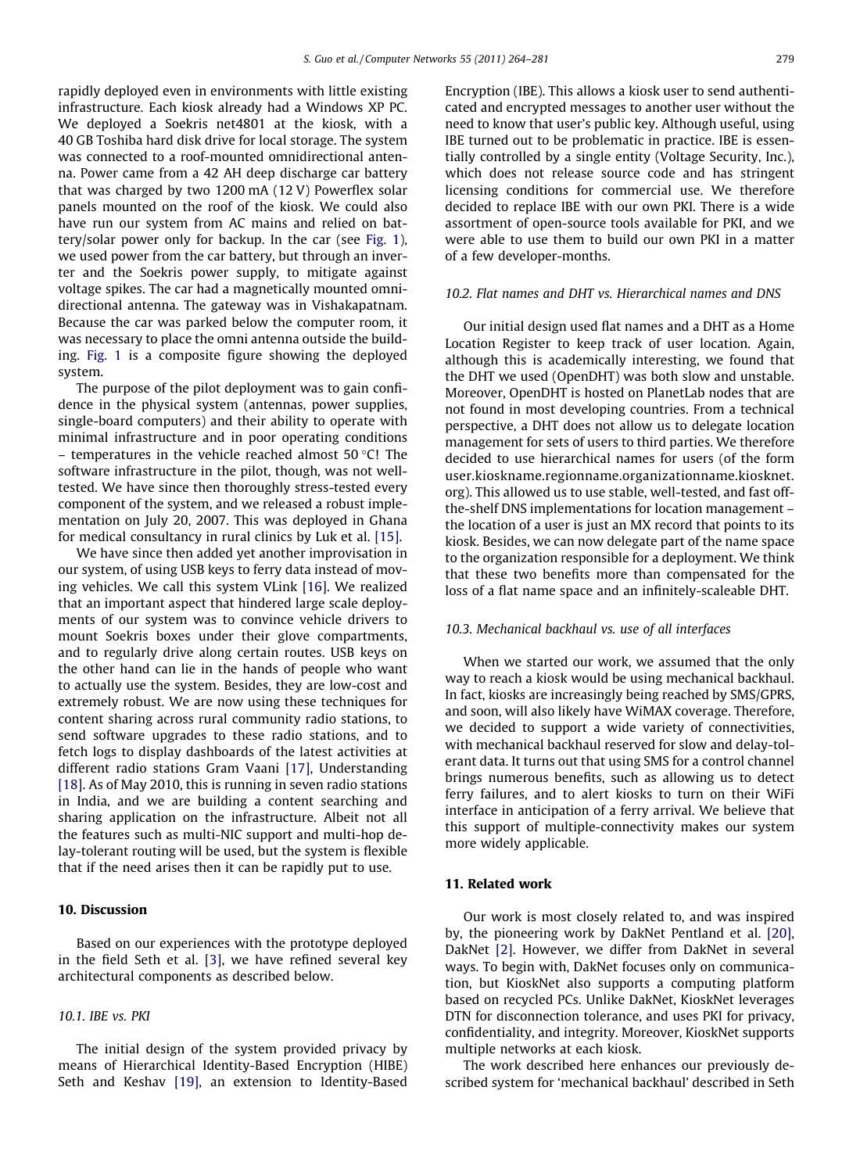rapidly deployed even in environments with little existing infrastructure. Each kiosk already had a Windows XP PC. We deployed a Soekris net4801 at the kiosk, with a 40 GB Toshiba hard disk drive for local storage. The system was connected to a roof-mounted omnidirectional antenna. Power came from a 42 AH deep discharge car battery that was charged by two 1200 mA (12 V) Powerflex solar panels mounted on the roof of the kiosk. We could also have run our system from AC mains and relied on battery/solar power only for backup. In the car (see [Fig. 1](#page-1-0)), we used power from the car battery, but through an inverter and the Soekris power supply, to mitigate against voltage spikes. The car had a magnetically mounted omnidirectional antenna. The gateway was in Vishakapatnam. Because the car was parked below the computer room, it was necessary to place the omni antenna outside the building. [Fig. 1](#page-1-0) is a composite figure showing the deployed system.

The purpose of the pilot deployment was to gain confidence in the physical system (antennas, power supplies, single-board computers) and their ability to operate with minimal infrastructure and in poor operating conditions – temperatures in the vehicle reached almost 50  $\degree$ C! The software infrastructure in the pilot, though, was not welltested. We have since then thoroughly stress-tested every component of the system, and we released a robust implementation on July 20, 2007. This was deployed in Ghana for medical consultancy in rural clinics by Luk et al. [\[15\].](#page-16-0)

We have since then added yet another improvisation in our system, of using USB keys to ferry data instead of moving vehicles. We call this system VLink [\[16\].](#page-16-0) We realized that an important aspect that hindered large scale deployments of our system was to convince vehicle drivers to mount Soekris boxes under their glove compartments, and to regularly drive along certain routes. USB keys on the other hand can lie in the hands of people who want to actually use the system. Besides, they are low-cost and extremely robust. We are now using these techniques for content sharing across rural community radio stations, to send software upgrades to these radio stations, and to fetch logs to display dashboards of the latest activities at different radio stations Gram Vaani [\[17\]](#page-16-0), Understanding [\[18\]](#page-16-0). As of May 2010, this is running in seven radio stations in India, and we are building a content searching and sharing application on the infrastructure. Albeit not all the features such as multi-NIC support and multi-hop delay-tolerant routing will be used, but the system is flexible that if the need arises then it can be rapidly put to use.

# 10. Discussion

Based on our experiences with the prototype deployed in the field Seth et al. [\[3\]](#page-16-0), we have refined several key architectural components as described below.

#### 10.1. IBE vs. PKI

The initial design of the system provided privacy by means of Hierarchical Identity-Based Encryption (HIBE) Seth and Keshav [\[19\],](#page-16-0) an extension to Identity-Based

Encryption (IBE). This allows a kiosk user to send authenticated and encrypted messages to another user without the need to know that user's public key. Although useful, using IBE turned out to be problematic in practice. IBE is essentially controlled by a single entity (Voltage Security, Inc.), which does not release source code and has stringent licensing conditions for commercial use. We therefore decided to replace IBE with our own PKI. There is a wide assortment of open-source tools available for PKI, and we were able to use them to build our own PKI in a matter of a few developer-months.

## 10.2. Flat names and DHT vs. Hierarchical names and DNS

Our initial design used flat names and a DHT as a Home Location Register to keep track of user location. Again, although this is academically interesting, we found that the DHT we used (OpenDHT) was both slow and unstable. Moreover, OpenDHT is hosted on PlanetLab nodes that are not found in most developing countries. From a technical perspective, a DHT does not allow us to delegate location management for sets of users to third parties. We therefore decided to use hierarchical names for users (of the form user.kioskname.regionname.organizationname.kiosknet. org). This allowed us to use stable, well-tested, and fast offthe-shelf DNS implementations for location management – the location of a user is just an MX record that points to its kiosk. Besides, we can now delegate part of the name space to the organization responsible for a deployment. We think that these two benefits more than compensated for the loss of a flat name space and an infinitely-scaleable DHT.

#### 10.3. Mechanical backhaul vs. use of all interfaces

When we started our work, we assumed that the only way to reach a kiosk would be using mechanical backhaul. In fact, kiosks are increasingly being reached by SMS/GPRS, and soon, will also likely have WiMAX coverage. Therefore, we decided to support a wide variety of connectivities, with mechanical backhaul reserved for slow and delay-tolerant data. It turns out that using SMS for a control channel brings numerous benefits, such as allowing us to detect ferry failures, and to alert kiosks to turn on their WiFi interface in anticipation of a ferry arrival. We believe that this support of multiple-connectivity makes our system more widely applicable.

#### 11. Related work

Our work is most closely related to, and was inspired by, the pioneering work by DakNet Pentland et al. [\[20\]](#page-16-0), DakNet [\[2\].](#page-16-0) However, we differ from DakNet in several ways. To begin with, DakNet focuses only on communication, but KioskNet also supports a computing platform based on recycled PCs. Unlike DakNet, KioskNet leverages DTN for disconnection tolerance, and uses PKI for privacy, confidentiality, and integrity. Moreover, KioskNet supports multiple networks at each kiosk.

The work described here enhances our previously described system for 'mechanical backhaul' described in Seth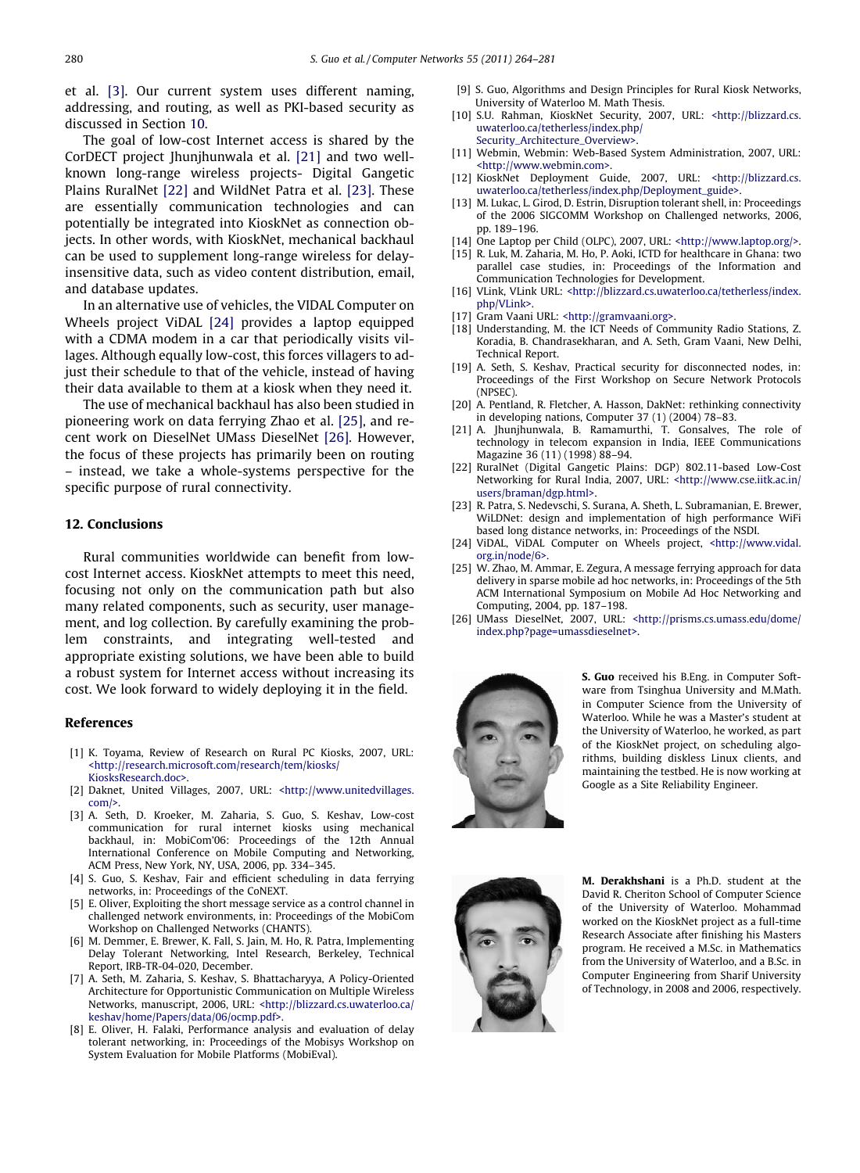<span id="page-16-0"></span>et al. [3]. Our current system uses different naming, addressing, and routing, as well as PKI-based security as discussed in Section 10.

The goal of low-cost Internet access is shared by the CorDECT project Jhunjhunwala et al. [21] and two wellknown long-range wireless projects- Digital Gangetic Plains RuralNet [22] and WildNet Patra et al. [23]. These are essentially communication technologies and can potentially be integrated into KioskNet as connection objects. In other words, with KioskNet, mechanical backhaul can be used to supplement long-range wireless for delayinsensitive data, such as video content distribution, email, and database updates.

In an alternative use of vehicles, the VIDAL Computer on Wheels project ViDAL [24] provides a laptop equipped with a CDMA modem in a car that periodically visits villages. Although equally low-cost, this forces villagers to adjust their schedule to that of the vehicle, instead of having their data available to them at a kiosk when they need it.

The use of mechanical backhaul has also been studied in pioneering work on data ferrying Zhao et al. [25], and recent work on DieselNet UMass DieselNet [26]. However, the focus of these projects has primarily been on routing – instead, we take a whole-systems perspective for the specific purpose of rural connectivity.

# 12. Conclusions

Rural communities worldwide can benefit from lowcost Internet access. KioskNet attempts to meet this need, focusing not only on the communication path but also many related components, such as security, user management, and log collection. By carefully examining the problem constraints, and integrating well-tested and appropriate existing solutions, we have been able to build a robust system for Internet access without increasing its cost. We look forward to widely deploying it in the field.

## References

- [1] K. Toyama, Review of Research on Rural PC Kiosks, 2007, URL: [<http://research.microsoft.com/research/tem/kiosks/](http://research.microsoft.com/research/tem/kiosks/KiosksResearch.doc) [KiosksResearch.doc>](http://research.microsoft.com/research/tem/kiosks/KiosksResearch.doc).
- [2] Daknet, United Villages, 2007, URL: [<http://www.unitedvillages.](http://www.unitedvillages.com/) [com/>.](http://www.unitedvillages.com/)
- [3] A. Seth, D. Kroeker, M. Zaharia, S. Guo, S. Keshav, Low-cost communication for rural internet kiosks using mechanical backhaul, in: MobiCom'06: Proceedings of the 12th Annual International Conference on Mobile Computing and Networking, ACM Press, New York, NY, USA, 2006, pp. 334–345.
- [4] S. Guo, S. Keshav, Fair and efficient scheduling in data ferrying networks, in: Proceedings of the CoNEXT.
- [5] E. Oliver, Exploiting the short message service as a control channel in challenged network environments, in: Proceedings of the MobiCom Workshop on Challenged Networks (CHANTS).
- [6] M. Demmer, E. Brewer, K. Fall, S. Jain, M. Ho, R. Patra, Implementing Delay Tolerant Networking, Intel Research, Berkeley, Technical Report, IRB-TR-04-020, December.
- [7] A. Seth, M. Zaharia, S. Keshav, S. Bhattacharyya, A Policy-Oriented Architecture for Opportunistic Communication on Multiple Wireless Networks, manuscript, 2006, URL: [<http://blizzard.cs.uwaterloo.ca/](http://blizzard.cs.uwaterloo.ca/keshav/home/Papers/data/06/ocmp.pdf) [keshav/home/Papers/data/06/ocmp.pdf>](http://blizzard.cs.uwaterloo.ca/keshav/home/Papers/data/06/ocmp.pdf).
- [8] E. Oliver, H. Falaki, Performance analysis and evaluation of delay tolerant networking, in: Proceedings of the Mobisys Workshop on System Evaluation for Mobile Platforms (MobiEval).
- [9] S. Guo, Algorithms and Design Principles for Rural Kiosk Networks, University of Waterloo M. Math Thesis.
- [10] S.U. Rahman, KioskNet Security, 2007, URL: [<http://blizzard.cs.](http://blizzard.cs.uwaterloo.ca/tetherless/index.php/Security_Architecture_Overview) [uwaterloo.ca/tetherless/index.php/](http://blizzard.cs.uwaterloo.ca/tetherless/index.php/Security_Architecture_Overview) [Security\\_Architecture\\_Overview>.](http://blizzard.cs.uwaterloo.ca/tetherless/index.php/Security_Architecture_Overview)
- [11] Webmin, Webmin: Web-Based System Administration, 2007, URL: [<http://www.webmin.com>](http://www.webmin.com).
- [12] KioskNet Deployment Guide, 2007, URL: [<http://blizzard.cs.](http://blizzard.cs.uwaterloo.ca/tetherless/index.php/Deployment_guide) [uwaterloo.ca/tetherless/index.php/Deployment\\_guide>](http://blizzard.cs.uwaterloo.ca/tetherless/index.php/Deployment_guide).
- [13] M. Lukac, L. Girod, D. Estrin, Disruption tolerant shell, in: Proceedings of the 2006 SIGCOMM Workshop on Challenged networks, 2006, pp. 189–196.
- [14] One Laptop per Child (OLPC), 2007, URL: [<http://www.laptop.org/>.](http://www.laptop.org/)
- [15] R. Luk, M. Zaharia, M. Ho, P. Aoki, ICTD for healthcare in Ghana: two parallel case studies, in: Proceedings of the Information and Communication Technologies for Development.
- [16] VLink, VLink URL: [<http://blizzard.cs.uwaterloo.ca/tetherless/index.](http://blizzard.cs.uwaterloo.ca/tetherless/index.php/VLink) [php/VLink>.](http://blizzard.cs.uwaterloo.ca/tetherless/index.php/VLink)
- [17] Gram Vaani URL: [<http://gramvaani.org>.](http://gramvaani.org)
- [18] Understanding, M. the ICT Needs of Community Radio Stations, Z. Koradia, B. Chandrasekharan, and A. Seth, Gram Vaani, New Delhi, Technical Report.
- [19] A. Seth, S. Keshav, Practical security for disconnected nodes, in: Proceedings of the First Workshop on Secure Network Protocols (NPSEC).
- [20] A. Pentland, R. Fletcher, A. Hasson, DakNet: rethinking connectivity in developing nations, Computer 37 (1) (2004) 78–83.
- [21] A. Jhunjhunwala, B. Ramamurthi, T. Gonsalves, The role of technology in telecom expansion in India, IEEE Communications Magazine 36 (11) (1998) 88–94.
- [22] RuralNet (Digital Gangetic Plains: DGP) 802.11-based Low-Cost Networking for Rural India, 2007, URL: [<http://www.cse.iitk.ac.in/](http://www.cse.iitk.ac.in/users/braman/dgp.html) [users/braman/dgp.html>.](http://www.cse.iitk.ac.in/users/braman/dgp.html)
- [23] R. Patra, S. Nedevschi, S. Surana, A. Sheth, L. Subramanian, E. Brewer, WiLDNet: design and implementation of high performance WiFi based long distance networks, in: Proceedings of the NSDI.
- [24] ViDAL, ViDAL Computer on Wheels project, [<http://www.vidal.](http://www.vidal.org.in/node/6) [org.in/node/6>](http://www.vidal.org.in/node/6).
- [25] W. Zhao, M. Ammar, E. Zegura, A message ferrying approach for data delivery in sparse mobile ad hoc networks, in: Proceedings of the 5th ACM International Symposium on Mobile Ad Hoc Networking and Computing, 2004, pp. 187–198.
- [26] UMass DieselNet, 2007, URL: [<http://prisms.cs.umass.edu/dome/](http://prisms.cs.umass.edu/dome/index.php?page=umassdieselnet) [index.php?page=umassdieselnet>.](http://prisms.cs.umass.edu/dome/index.php?page=umassdieselnet)



S. Guo received his B.Eng. in Computer Software from Tsinghua University and M.Math. in Computer Science from the University of Waterloo. While he was a Master's student at the University of Waterloo, he worked, as part of the KioskNet project, on scheduling algorithms, building diskless Linux clients, and maintaining the testbed. He is now working at Google as a Site Reliability Engineer.



M. Derakhshani is a Ph.D. student at the David R. Cheriton School of Computer Science of the University of Waterloo. Mohammad worked on the KioskNet project as a full-time Research Associate after finishing his Masters program. He received a M.Sc. in Mathematics from the University of Waterloo, and a B.Sc. in Computer Engineering from Sharif University of Technology, in 2008 and 2006, respectively.